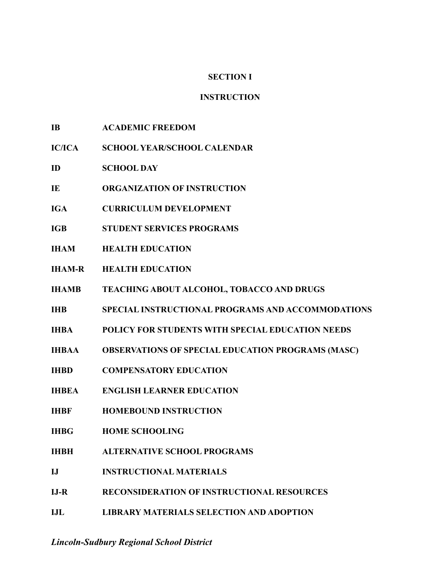# **SECTION I**

# **INSTRUCTION**

- **IB ACADEMIC FREEDOM**
- **IC/ICA SCHOOL YEAR/SCHOOL CALENDAR**
- **ID SCHOOL DAY**
- **IE ORGANIZATION OF INSTRUCTION**
- **IGA CURRICULUM DEVELOPMENT**
- **IGB STUDENT SERVICES PROGRAMS**
- **IHAM HEALTH EDUCATION**
- **IHAM-R HEALTH EDUCATION**
- **IHAMB TEACHING ABOUT ALCOHOL, TOBACCO AND DRUGS**
- **IHB SPECIAL INSTRUCTIONAL PROGRAMS AND ACCOMMODATIONS**
- **IHBA POLICY FOR STUDENTS WITH SPECIAL EDUCATION NEEDS**
- **IHBAA OBSERVATIONS OF SPECIAL EDUCATION PROGRAMS (MASC)**
- **IHBD COMPENSATORY EDUCATION**
- **IHBEA ENGLISH LEARNER EDUCATION**
- **IHBF HOMEBOUND INSTRUCTION**
- **IHBG HOME SCHOOLING**
- **IHBH ALTERNATIVE SCHOOL PROGRAMS**
- **IJ INSTRUCTIONAL MATERIALS**
- **IJ-R RECONSIDERATION OF INSTRUCTIONAL RESOURCES**
- **IJL LIBRARY MATERIALS SELECTION AND ADOPTION**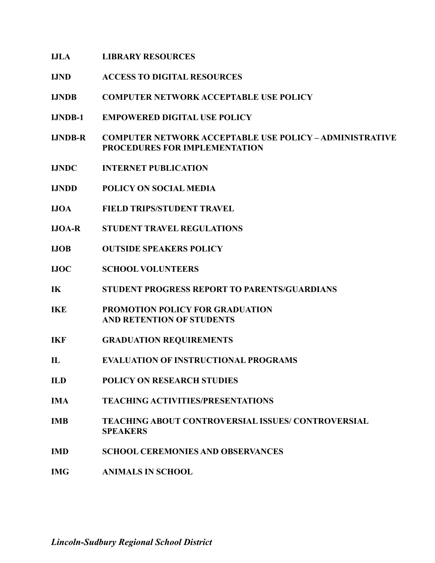# **IJLA LIBRARY RESOURCES**

- **IJND ACCESS TO DIGITAL RESOURCES**
- **IJNDB COMPUTER NETWORK ACCEPTABLE USE POLICY**
- **IJNDB-1 EMPOWERED DIGITAL USE POLICY**
- **IJNDB-R COMPUTER NETWORK ACCEPTABLE USE POLICY ADMINISTRATIVE PROCEDURES FOR IMPLEMENTATION**
- **IJNDC INTERNET PUBLICATION**
- **IJNDD POLICY ON SOCIAL MEDIA**
- **IJOA FIELD TRIPS/STUDENT TRAVEL**
- **IJOA-R STUDENT TRAVEL REGULATIONS**
- **IJOB OUTSIDE SPEAKERS POLICY**
- **IJOC SCHOOL VOLUNTEERS**
- **IK STUDENT PROGRESS REPORT TO PARENTS/GUARDIANS**
- **IKE PROMOTION POLICY FOR GRADUATION AND RETENTION OF STUDENTS**
- **IKF GRADUATION REQUIREMENTS**
- **IL EVALUATION OF INSTRUCTIONAL PROGRAMS**
- **ILD POLICY ON RESEARCH STUDIES**
- **IMA TEACHING ACTIVITIES/PRESENTATIONS**
- **IMB TEACHING ABOUT CONTROVERSIAL ISSUES/ CONTROVERSIAL SPEAKERS**
- **IMD SCHOOL CEREMONIES AND OBSERVANCES**
- **IMG ANIMALS IN SCHOOL**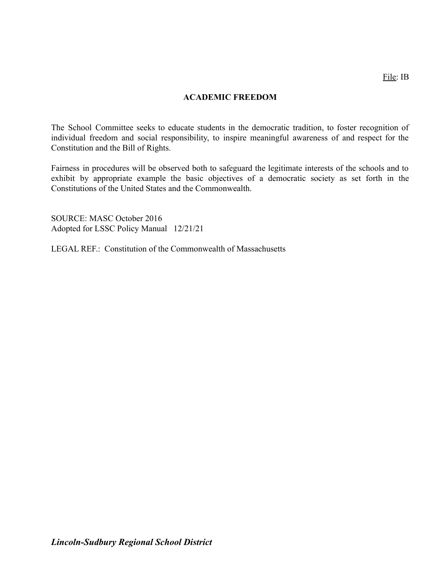# **ACADEMIC FREEDOM**

The School Committee seeks to educate students in the democratic tradition, to foster recognition of individual freedom and social responsibility, to inspire meaningful awareness of and respect for the Constitution and the Bill of Rights.

Fairness in procedures will be observed both to safeguard the legitimate interests of the schools and to exhibit by appropriate example the basic objectives of a democratic society as set forth in the Constitutions of the United States and the Commonwealth.

SOURCE: MASC October 2016 Adopted for LSSC Policy Manual 12/21/21

LEGAL REF.: Constitution of the Commonwealth of Massachusetts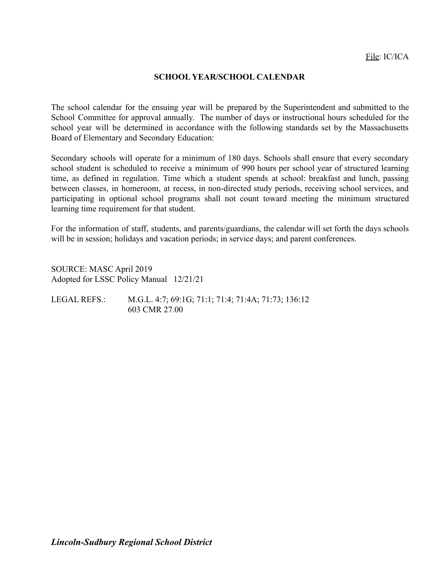#### **SCHOOL YEAR/SCHOOL CALENDAR**

The school calendar for the ensuing year will be prepared by the Superintendent and submitted to the School Committee for approval annually. The number of days or instructional hours scheduled for the school year will be determined in accordance with the following standards set by the Massachusetts Board of Elementary and Secondary Education:

Secondary schools will operate for a minimum of 180 days. Schools shall ensure that every secondary school student is scheduled to receive a minimum of 990 hours per school year of structured learning time, as defined in regulation. Time which a student spends at school: breakfast and lunch, passing between classes, in homeroom, at recess, in non-directed study periods, receiving school services, and participating in optional school programs shall not count toward meeting the minimum structured learning time requirement for that student.

For the information of staff, students, and parents/guardians, the calendar will set forth the days schools will be in session; holidays and vacation periods; in service days; and parent conferences.

SOURCE: MASC April 2019 Adopted for LSSC Policy Manual 12/21/21

| LEGAL REFS.: | M.G.L. 4:7; 69:1G; 71:1; 71:4; 71:4A; 71:73; 136:12 |
|--------------|-----------------------------------------------------|
|              | 603 CMR 27.00                                       |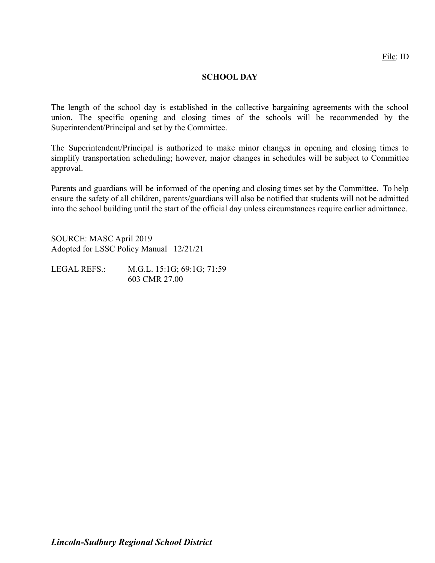#### **SCHOOL DAY**

The length of the school day is established in the collective bargaining agreements with the school union. The specific opening and closing times of the schools will be recommended by the Superintendent/Principal and set by the Committee.

The Superintendent/Principal is authorized to make minor changes in opening and closing times to simplify transportation scheduling; however, major changes in schedules will be subject to Committee approval.

Parents and guardians will be informed of the opening and closing times set by the Committee. To help ensure the safety of all children, parents/guardians will also be notified that students will not be admitted into the school building until the start of the official day unless circumstances require earlier admittance.

SOURCE: MASC April 2019 Adopted for LSSC Policy Manual 12/21/21

LEGAL REFS.: M.G.L. 15:1G; 69:1G; 71:59 603 CMR 27.00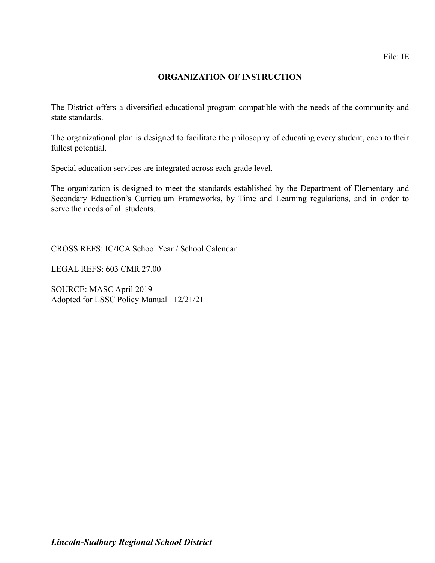#### **ORGANIZATION OF INSTRUCTION**

The District offers a diversified educational program compatible with the needs of the community and state standards.

The organizational plan is designed to facilitate the philosophy of educating every student, each to their fullest potential.

Special education services are integrated across each grade level.

The organization is designed to meet the standards established by the Department of Elementary and Secondary Education's Curriculum Frameworks, by Time and Learning regulations, and in order to serve the needs of all students.

CROSS REFS: IC/ICA School Year / School Calendar

LEGAL REFS: 603 CMR 27.00

SOURCE: MASC April 2019 Adopted for LSSC Policy Manual 12/21/21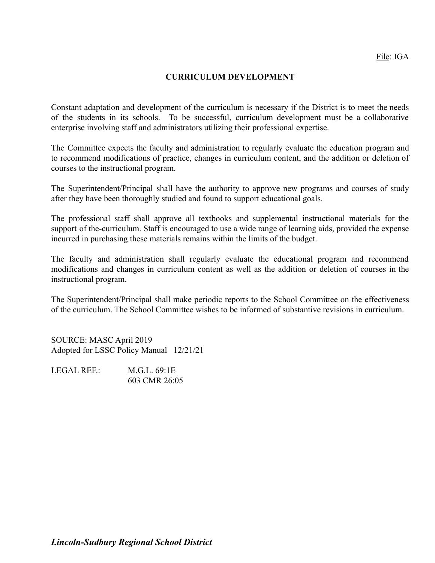# **CURRICULUM DEVELOPMENT**

Constant adaptation and development of the curriculum is necessary if the District is to meet the needs of the students in its schools. To be successful, curriculum development must be a collaborative enterprise involving staff and administrators utilizing their professional expertise.

The Committee expects the faculty and administration to regularly evaluate the education program and to recommend modifications of practice, changes in curriculum content, and the addition or deletion of courses to the instructional program.

The Superintendent/Principal shall have the authority to approve new programs and courses of study after they have been thoroughly studied and found to support educational goals.

The professional staff shall approve all textbooks and supplemental instructional materials for the support of the-curriculum. Staff is encouraged to use a wide range of learning aids, provided the expense incurred in purchasing these materials remains within the limits of the budget.

The faculty and administration shall regularly evaluate the educational program and recommend modifications and changes in curriculum content as well as the addition or deletion of courses in the instructional program.

The Superintendent/Principal shall make periodic reports to the School Committee on the effectiveness of the curriculum. The School Committee wishes to be informed of substantive revisions in curriculum.

SOURCE: MASC April 2019 Adopted for LSSC Policy Manual 12/21/21

LEGAL REF. M.G.L. 69.1E 603 CMR 26:05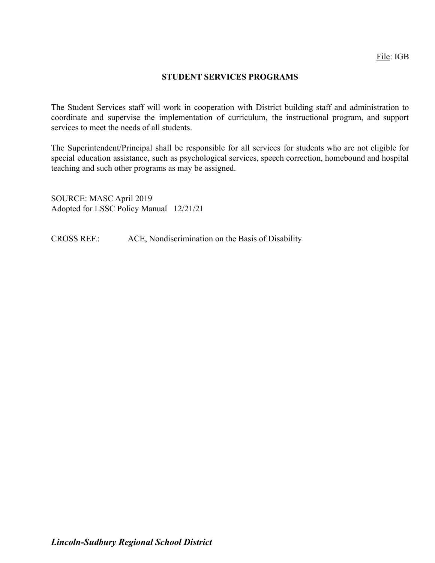# **STUDENT SERVICES PROGRAMS**

The Student Services staff will work in cooperation with District building staff and administration to coordinate and supervise the implementation of curriculum, the instructional program, and support services to meet the needs of all students.

The Superintendent/Principal shall be responsible for all services for students who are not eligible for special education assistance, such as psychological services, speech correction, homebound and hospital teaching and such other programs as may be assigned.

SOURCE: MASC April 2019 Adopted for LSSC Policy Manual 12/21/21

CROSS REF.: ACE, Nondiscrimination on the Basis of Disability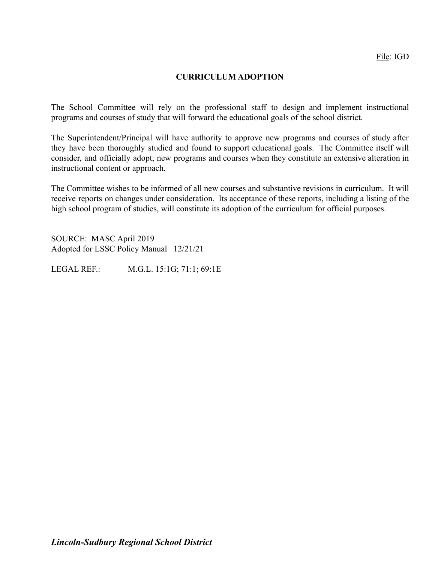# **CURRICULUM ADOPTION**

The School Committee will rely on the professional staff to design and implement instructional programs and courses of study that will forward the educational goals of the school district.

The Superintendent/Principal will have authority to approve new programs and courses of study after they have been thoroughly studied and found to support educational goals. The Committee itself will consider, and officially adopt, new programs and courses when they constitute an extensive alteration in instructional content or approach.

The Committee wishes to be informed of all new courses and substantive revisions in curriculum. It will receive reports on changes under consideration. Its acceptance of these reports, including a listing of the high school program of studies, will constitute its adoption of the curriculum for official purposes.

SOURCE: MASC April 2019 Adopted for LSSC Policy Manual 12/21/21

LEGAL REF.: M.G.L. 15:1G; 71:1; 69:1E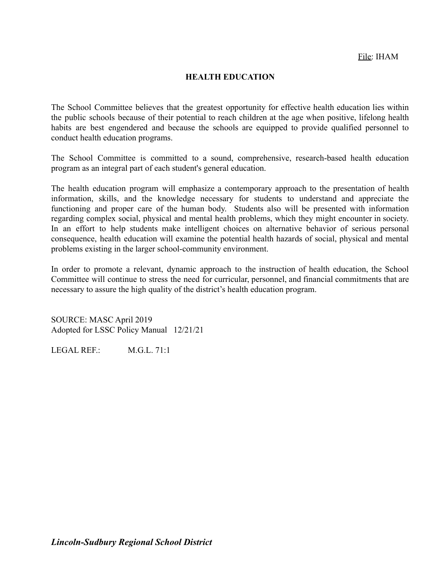#### **HEALTH EDUCATION**

The School Committee believes that the greatest opportunity for effective health education lies within the public schools because of their potential to reach children at the age when positive, lifelong health habits are best engendered and because the schools are equipped to provide qualified personnel to conduct health education programs.

The School Committee is committed to a sound, comprehensive, research-based health education program as an integral part of each student's general education.

The health education program will emphasize a contemporary approach to the presentation of health information, skills, and the knowledge necessary for students to understand and appreciate the functioning and proper care of the human body. Students also will be presented with information regarding complex social, physical and mental health problems, which they might encounter in society. In an effort to help students make intelligent choices on alternative behavior of serious personal consequence, health education will examine the potential health hazards of social, physical and mental problems existing in the larger school-community environment.

In order to promote a relevant, dynamic approach to the instruction of health education, the School Committee will continue to stress the need for curricular, personnel, and financial commitments that are necessary to assure the high quality of the district's health education program.

SOURCE: MASC April 2019 Adopted for LSSC Policy Manual 12/21/21

LEGAL REF. M.G.L. 71:1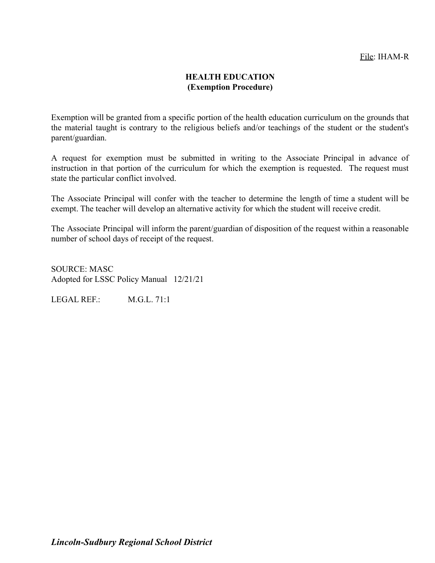# **HEALTH EDUCATION (Exemption Procedure)**

Exemption will be granted from a specific portion of the health education curriculum on the grounds that the material taught is contrary to the religious beliefs and/or teachings of the student or the student's parent/guardian.

A request for exemption must be submitted in writing to the Associate Principal in advance of instruction in that portion of the curriculum for which the exemption is requested. The request must state the particular conflict involved.

The Associate Principal will confer with the teacher to determine the length of time a student will be exempt. The teacher will develop an alternative activity for which the student will receive credit.

The Associate Principal will inform the parent/guardian of disposition of the request within a reasonable number of school days of receipt of the request.

SOURCE: MASC Adopted for LSSC Policy Manual 12/21/21

LEGAL REF.: M.G.L. 71:1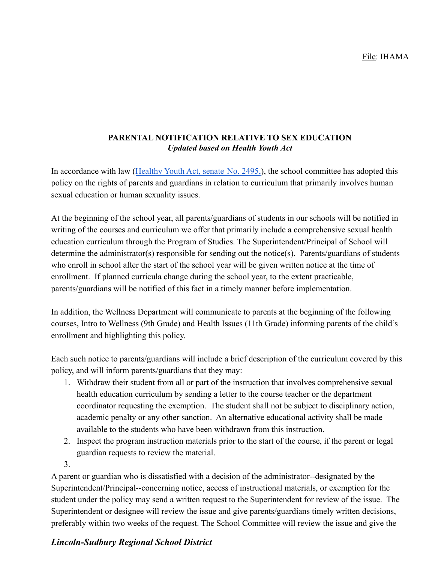# **PARENTAL NOTIFICATION RELATIVE TO SEX EDUCATION** *Updated based on Health Youth Act*

In accordance with law ([Healthy Youth Act, senate](https://trackbill.com/bill/massachusetts-house-bill-673-an-act-relative-to-healthy-youth/2100451/) No. 2495,), the school committee has adopted this policy on the rights of parents and guardians in relation to curriculum that primarily involves human sexual education or human sexuality issues.

At the beginning of the school year, all parents/guardians of students in our schools will be notified in writing of the courses and curriculum we offer that primarily include a comprehensive sexual health education curriculum through the Program of Studies. The Superintendent/Principal of School will determine the administrator(s) responsible for sending out the notice(s). Parents/guardians of students who enroll in school after the start of the school year will be given written notice at the time of enrollment. If planned curricula change during the school year, to the extent practicable, parents/guardians will be notified of this fact in a timely manner before implementation.

In addition, the Wellness Department will communicate to parents at the beginning of the following courses, Intro to Wellness (9th Grade) and Health Issues (11th Grade) informing parents of the child's enrollment and highlighting this policy.

Each such notice to parents/guardians will include a brief description of the curriculum covered by this policy, and will inform parents/guardians that they may:

- 1. Withdraw their student from all or part of the instruction that involves comprehensive sexual health education curriculum by sending a letter to the course teacher or the department coordinator requesting the exemption. The student shall not be subject to disciplinary action, academic penalty or any other sanction. An alternative educational activity shall be made available to the students who have been withdrawn from this instruction.
- 2. Inspect the program instruction materials prior to the start of the course, if the parent or legal guardian requests to review the material.
- 3.

A parent or guardian who is dissatisfied with a decision of the administrator--designated by the Superintendent/Principal--concerning notice, access of instructional materials, or exemption for the student under the policy may send a written request to the Superintendent for review of the issue. The Superintendent or designee will review the issue and give parents/guardians timely written decisions, preferably within two weeks of the request. The School Committee will review the issue and give the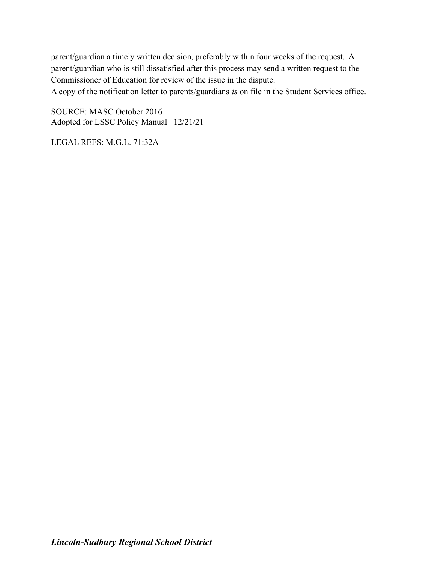parent/guardian a timely written decision, preferably within four weeks of the request. A parent/guardian who is still dissatisfied after this process may send a written request to the Commissioner of Education for review of the issue in the dispute.

A copy of the notification letter to parents/guardians *is* on file in the Student Services office.

SOURCE: MASC October 2016 Adopted for LSSC Policy Manual 12/21/21

LEGAL REFS: M.G.L. 71:32A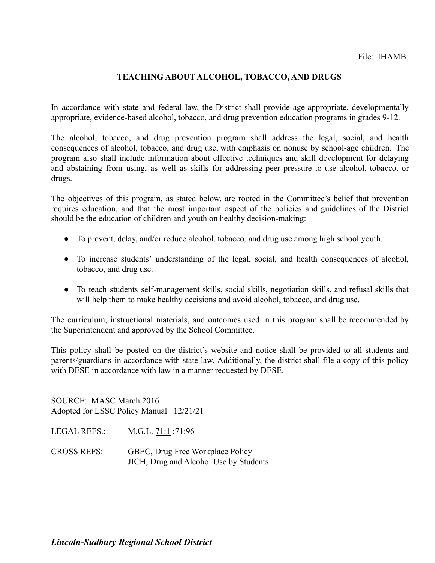# **TEACHING ABOUT ALCOHOL, TOBACCO, AND DRUGS**

In accordance with state and federal law, the District shall provide age-appropriate, developmentally appropriate, evidence-based alcohol, tobacco, and drug prevention education programs in grades 9-12.

The alcohol, tobacco, and drug prevention program shall address the legal, social, and health consequences of alcohol, tobacco, and drug use, with emphasis on nonuse by school-age children. The program also shall include information about effective techniques and skill development for delaying and abstaining from using, as well as skills for addressing peer pressure to use alcohol, tobacco, or drugs.

The objectives of this program, as stated below, are rooted in the Committee's belief that prevention requires education, and that the most important aspect of the policies and guidelines of the District should be the education of children and youth on healthy decision-making:

- To prevent, delay, and/or reduce alcohol, tobacco, and drug use among high school youth.
- To increase students' understanding of the legal, social, and health consequences of alcohol, tobacco, and drug use.
- To teach students self-management skills, social skills, negotiation skills, and refusal skills that will help them to make healthy decisions and avoid alcohol, tobacco, and drug use.

The curriculum, instructional materials, and outcomes used in this program shall be recommended by the Superintendent and approved by the School Committee.

This policy shall be posted on the district's website and notice shall be provided to all students and parents/guardians in accordance with state law. Additionally, the district shall file a copy of this policy with DESE in accordance with law in a manner requested by DESE.

SOURCE: MASC March 2016 Adopted for LSSC Policy Manual 12/21/21

LEGAL REFS.: M.G.L. [71:1](http://www.malegislature.gov/Laws/GeneralLaws/PartI/TitleXII/Chapter71/Section1) ;71:96

CROSS REFS: GBEC, Drug Free Workplace Policy JICH, Drug and Alcohol Use by Students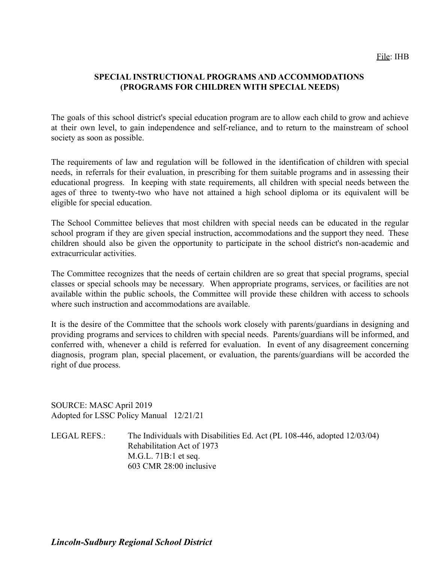# **SPECIAL INSTRUCTIONAL PROGRAMS AND ACCOMMODATIONS (PROGRAMS FOR CHILDREN WITH SPECIAL NEEDS)**

The goals of this school district's special education program are to allow each child to grow and achieve at their own level, to gain independence and self-reliance, and to return to the mainstream of school society as soon as possible.

The requirements of law and regulation will be followed in the identification of children with special needs, in referrals for their evaluation, in prescribing for them suitable programs and in assessing their educational progress. In keeping with state requirements, all children with special needs between the ages of three to twenty-two who have not attained a high school diploma or its equivalent will be eligible for special education.

The School Committee believes that most children with special needs can be educated in the regular school program if they are given special instruction, accommodations and the support they need. These children should also be given the opportunity to participate in the school district's non-academic and extracurricular activities.

The Committee recognizes that the needs of certain children are so great that special programs, special classes or special schools may be necessary. When appropriate programs, services, or facilities are not available within the public schools, the Committee will provide these children with access to schools where such instruction and accommodations are available.

It is the desire of the Committee that the schools work closely with parents/guardians in designing and providing programs and services to children with special needs. Parents/guardians will be informed, and conferred with, whenever a child is referred for evaluation. In event of any disagreement concerning diagnosis, program plan, special placement, or evaluation, the parents/guardians will be accorded the right of due process.

SOURCE: MASC April 2019 Adopted for LSSC Policy Manual 12/21/21

LEGAL REFS.: The Individuals with Disabilities Ed. Act (PL 108-446, adopted 12/03/04) Rehabilitation Act of 1973 M.G.L. 71B:1 et seq. 603 CMR 28:00 inclusive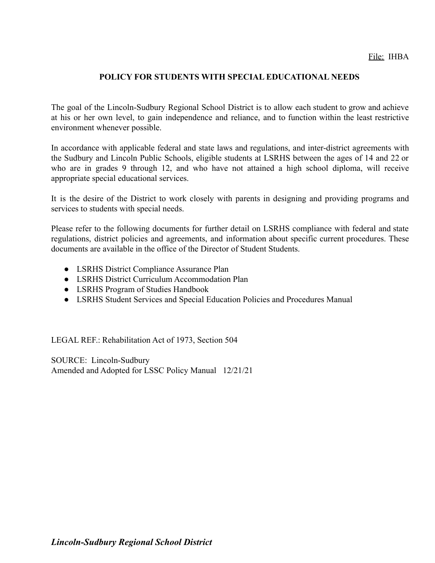# **POLICY FOR STUDENTS WITH SPECIAL EDUCATIONAL NEEDS**

The goal of the Lincoln-Sudbury Regional School District is to allow each student to grow and achieve at his or her own level, to gain independence and reliance, and to function within the least restrictive environment whenever possible.

In accordance with applicable federal and state laws and regulations, and inter-district agreements with the Sudbury and Lincoln Public Schools, eligible students at LSRHS between the ages of 14 and 22 or who are in grades 9 through 12, and who have not attained a high school diploma, will receive appropriate special educational services.

It is the desire of the District to work closely with parents in designing and providing programs and services to students with special needs.

Please refer to the following documents for further detail on LSRHS compliance with federal and state regulations, district policies and agreements, and information about specific current procedures. These documents are available in the office of the Director of Student Students.

- LSRHS District Compliance Assurance Plan
- LSRHS District Curriculum Accommodation Plan
- LSRHS Program of Studies Handbook
- LSRHS Student Services and Special Education Policies and Procedures Manual

LEGAL REF.: Rehabilitation Act of 1973, Section 504

SOURCE: Lincoln-Sudbury Amended and Adopted for LSSC Policy Manual 12/21/21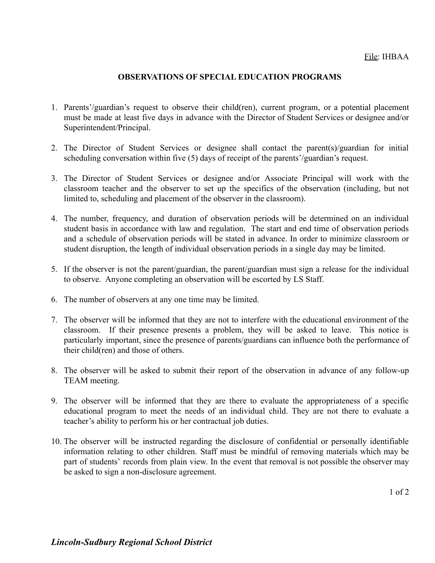#### **OBSERVATIONS OF SPECIAL EDUCATION PROGRAMS**

- 1. Parents'/guardian's request to observe their child(ren), current program, or a potential placement must be made at least five days in advance with the Director of Student Services or designee and/or Superintendent/Principal.
- 2. The Director of Student Services or designee shall contact the parent(s)/guardian for initial scheduling conversation within five (5) days of receipt of the parents'/guardian's request.
- 3. The Director of Student Services or designee and/or Associate Principal will work with the classroom teacher and the observer to set up the specifics of the observation (including, but not limited to, scheduling and placement of the observer in the classroom).
- 4. The number, frequency, and duration of observation periods will be determined on an individual student basis in accordance with law and regulation. The start and end time of observation periods and a schedule of observation periods will be stated in advance. In order to minimize classroom or student disruption, the length of individual observation periods in a single day may be limited.
- 5. If the observer is not the parent/guardian, the parent/guardian must sign a release for the individual to observe. Anyone completing an observation will be escorted by LS Staff.
- 6. The number of observers at any one time may be limited.
- 7. The observer will be informed that they are not to interfere with the educational environment of the classroom. If their presence presents a problem, they will be asked to leave. This notice is particularly important, since the presence of parents/guardians can influence both the performance of their child(ren) and those of others.
- 8. The observer will be asked to submit their report of the observation in advance of any follow-up TEAM meeting.
- 9. The observer will be informed that they are there to evaluate the appropriateness of a specific educational program to meet the needs of an individual child. They are not there to evaluate a teacher's ability to perform his or her contractual job duties.
- 10. The observer will be instructed regarding the disclosure of confidential or personally identifiable information relating to other children. Staff must be mindful of removing materials which may be part of students' records from plain view. In the event that removal is not possible the observer may be asked to sign a non-disclosure agreement.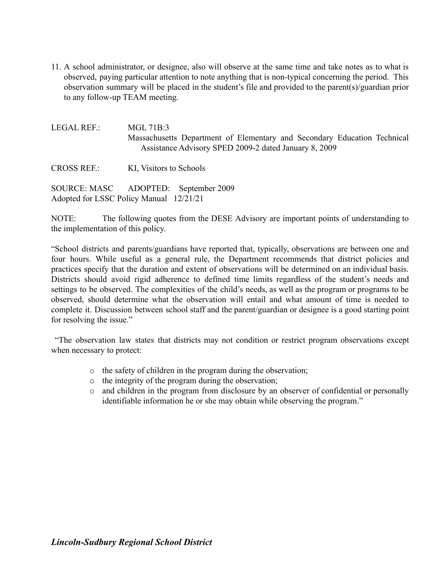11. A school administrator, or designee, also will observe at the same time and take notes as to what is observed, paying particular attention to note anything that is non-typical concerning the period. This observation summary will be placed in the student's file and provided to the parent(s)/guardian prior to any follow-up TEAM meeting.

LEGAL REF.: MGL 71B:3 Massachusetts Department of Elementary and Secondary Education Technical Assistance Advisory SPED 2009-2 dated January 8, 2009

CROSS REF.: KI, Visitors to Schools

SOURCE: MASC ADOPTED: September 2009 Adopted for LSSC Policy Manual 12/21/21

NOTE: The following quotes from the DESE Advisory are important points of understanding to the implementation of this policy.

"School districts and parents/guardians have reported that, typically, observations are between one and four hours. While useful as a general rule, the Department recommends that district policies and practices specify that the duration and extent of observations will be determined on an individual basis. Districts should avoid rigid adherence to defined time limits regardless of the student's needs and settings to be observed. The complexities of the child's needs, as well as the program or programs to be observed, should determine what the observation will entail and what amount of time is needed to complete it. Discussion between school staff and the parent/guardian or designee is a good starting point for resolving the issue."

"The observation law states that districts may not condition or restrict program observations except when necessary to protect:

- o the safety of children in the program during the observation;
- o the integrity of the program during the observation;
- o and children in the program from disclosure by an observer of confidential or personally identifiable information he or she may obtain while observing the program."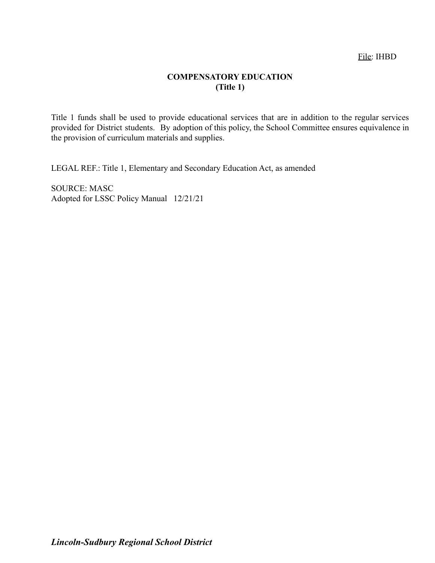# File: IHBD

# **COMPENSATORY EDUCATION (Title 1)**

Title 1 funds shall be used to provide educational services that are in addition to the regular services provided for District students. By adoption of this policy, the School Committee ensures equivalence in the provision of curriculum materials and supplies.

LEGAL REF.: Title 1, Elementary and Secondary Education Act, as amended

SOURCE: MASC Adopted for LSSC Policy Manual 12/21/21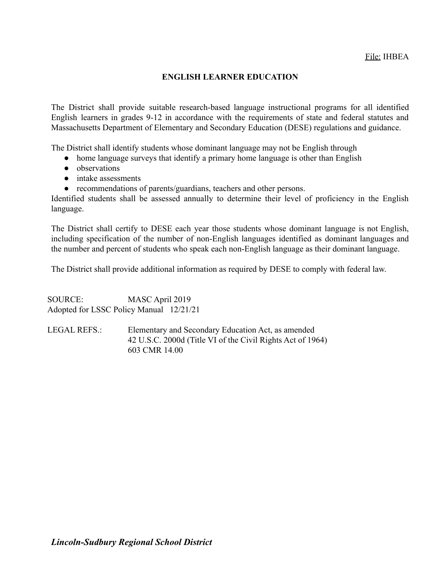# **ENGLISH LEARNER EDUCATION**

The District shall provide suitable research-based language instructional programs for all identified English learners in grades 9-12 in accordance with the requirements of state and federal statutes and Massachusetts Department of Elementary and Secondary Education (DESE) regulations and guidance.

The District shall identify students whose dominant language may not be English through

- home language surveys that identify a primary home language is other than English
- observations
- intake assessments
- recommendations of parents/guardians, teachers and other persons.

Identified students shall be assessed annually to determine their level of proficiency in the English language.

The District shall certify to DESE each year those students whose dominant language is not English, including specification of the number of non-English languages identified as dominant languages and the number and percent of students who speak each non-English language as their dominant language.

The District shall provide additional information as required by DESE to comply with federal law.

SOURCE: MASC April 2019 Adopted for LSSC Policy Manual 12/21/21

LEGAL REFS.: Elementary and Secondary Education Act, as amended 42 U.S.C. 2000d (Title VI of the Civil Rights Act of 1964) 603 CMR 14.00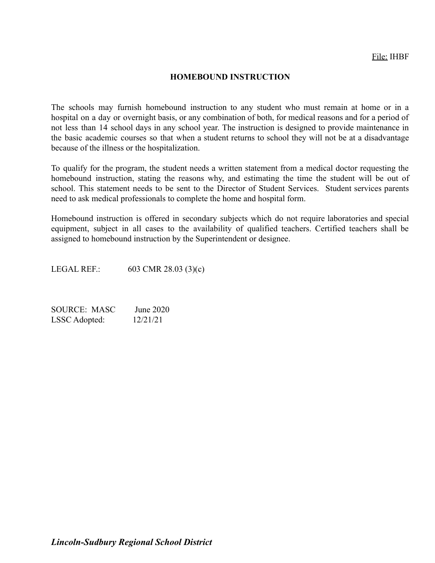#### **HOMEBOUND INSTRUCTION**

The schools may furnish homebound instruction to any student who must remain at home or in a hospital on a day or overnight basis, or any combination of both, for medical reasons and for a period of not less than 14 school days in any school year. The instruction is designed to provide maintenance in the basic academic courses so that when a student returns to school they will not be at a disadvantage because of the illness or the hospitalization.

To qualify for the program, the student needs a written statement from a medical doctor requesting the homebound instruction, stating the reasons why, and estimating the time the student will be out of school. This statement needs to be sent to the Director of Student Services. Student services parents need to ask medical professionals to complete the home and hospital form.

Homebound instruction is offered in secondary subjects which do not require laboratories and special equipment, subject in all cases to the availability of qualified teachers. Certified teachers shall be assigned to homebound instruction by the Superintendent or designee.

LEGAL REF.: 603 CMR 28.03 (3)(c)

SOURCE: MASC June 2020 LSSC Adopted: 12/21/21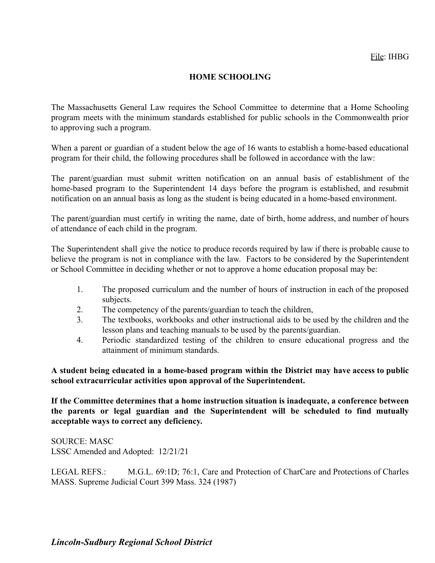# **HOME SCHOOLING**

The Massachusetts General Law requires the School Committee to determine that a Home Schooling program meets with the minimum standards established for public schools in the Commonwealth prior to approving such a program.

When a parent or guardian of a student below the age of 16 wants to establish a home-based educational program for their child, the following procedures shall be followed in accordance with the law:

The parent/guardian must submit written notification on an annual basis of establishment of the home-based program to the Superintendent 14 days before the program is established, and resubmit notification on an annual basis as long as the student is being educated in a home-based environment.

The parent/guardian must certify in writing the name, date of birth, home address, and number of hours of attendance of each child in the program.

The Superintendent shall give the notice to produce records required by law if there is probable cause to believe the program is not in compliance with the law. Factors to be considered by the Superintendent or School Committee in deciding whether or not to approve a home education proposal may be:

- 1. The proposed curriculum and the number of hours of instruction in each of the proposed subjects.
- 2. The competency of the parents/guardian to teach the children,
- 3. The textbooks, workbooks and other instructional aids to be used by the children and the lesson plans and teaching manuals to be used by the parents/guardian.
- 4. Periodic standardized testing of the children to ensure educational progress and the attainment of minimum standards.

**A student being educated in a home-based program within the District may have access to public school extracurricular activities upon approval of the Superintendent.**

**If the Committee determines that a home instruction situation is inadequate, a conference between the parents or legal guardian and the Superintendent will be scheduled to find mutually acceptable ways to correct any deficiency.**

SOURCE: MASC LSSC Amended and Adopted: 12/21/21

LEGAL REFS.: M.G.L. 69:1D; 76:1, Care and Protection of CharCare and Protections of Charles MASS. Supreme Judicial Court 399 Mass. 324 (1987)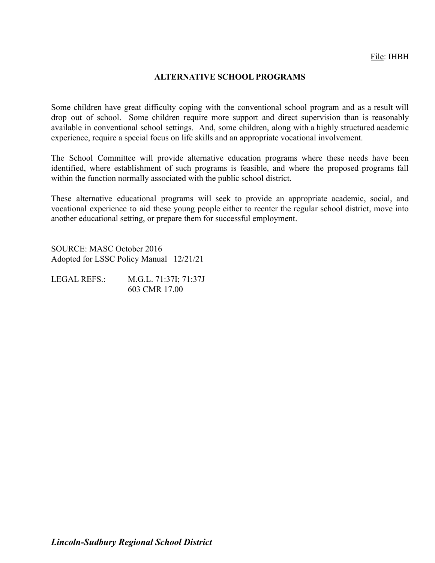#### **ALTERNATIVE SCHOOL PROGRAMS**

Some children have great difficulty coping with the conventional school program and as a result will drop out of school. Some children require more support and direct supervision than is reasonably available in conventional school settings. And, some children, along with a highly structured academic experience, require a special focus on life skills and an appropriate vocational involvement.

The School Committee will provide alternative education programs where these needs have been identified, where establishment of such programs is feasible, and where the proposed programs fall within the function normally associated with the public school district.

These alternative educational programs will seek to provide an appropriate academic, social, and vocational experience to aid these young people either to reenter the regular school district, move into another educational setting, or prepare them for successful employment.

SOURCE: MASC October 2016 Adopted for LSSC Policy Manual 12/21/21

LEGAL REFS.: M.G.L. 71:37I; 71:37J 603 CMR 17.00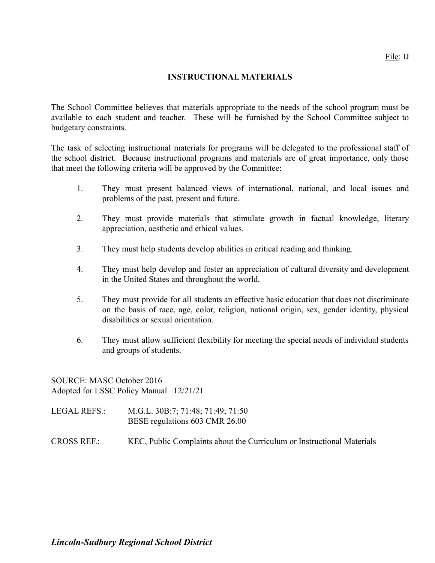#### **INSTRUCTIONAL MATERIALS**

The School Committee believes that materials appropriate to the needs of the school program must be available to each student and teacher. These will be furnished by the School Committee subject to budgetary constraints.

The task of selecting instructional materials for programs will be delegated to the professional staff of the school district. Because instructional programs and materials are of great importance, only those that meet the following criteria will be approved by the Committee:

- 1. They must present balanced views of international, national, and local issues and problems of the past, present and future.
- 2. They must provide materials that stimulate growth in factual knowledge, literary appreciation, aesthetic and ethical values.
- 3. They must help students develop abilities in critical reading and thinking.
- 4. They must help develop and foster an appreciation of cultural diversity and development in the United States and throughout the world.
- 5. They must provide for all students an effective basic education that does not discriminate on the basis of race, age, color, religion, national origin, sex, gender identity, physical disabilities or sexual orientation.
- 6. They must allow sufficient flexibility for meeting the special needs of individual students and groups of students.

SOURCE: MASC October 2016 Adopted for LSSC Policy Manual 12/21/21

LEGAL REFS.: M.G.L. 30B:7; 71:48; 71:49; 71:50 BESE regulations 603 CMR 26.00

CROSS REF.: KEC, Public Complaints about the Curriculum or Instructional Materials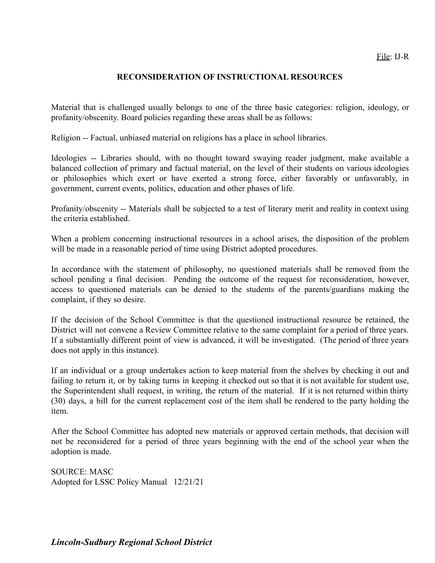#### **RECONSIDERATION OF INSTRUCTIONAL RESOURCES**

Material that is challenged usually belongs to one of the three basic categories: religion, ideology, or profanity/obscenity. Board policies regarding these areas shall be as follows:

Religion -- Factual, unbiased material on religions has a place in school libraries.

Ideologies -- Libraries should, with no thought toward swaying reader judgment, make available a balanced collection of primary and factual material, on the level of their students on various ideologies or philosophies which exert or have exerted a strong force, either favorably or unfavorably, in government, current events, politics, education and other phases of life.

Profanity/obscenity -- Materials shall be subjected to a test of literary merit and reality in context using the criteria established.

When a problem concerning instructional resources in a school arises, the disposition of the problem will be made in a reasonable period of time using District adopted procedures.

In accordance with the statement of philosophy, no questioned materials shall be removed from the school pending a final decision. Pending the outcome of the request for reconsideration, however, access to questioned materials can be denied to the students of the parents/guardians making the complaint, if they so desire.

If the decision of the School Committee is that the questioned instructional resource be retained, the District will not convene a Review Committee relative to the same complaint for a period of three years. If a substantially different point of view is advanced, it will be investigated. (The period of three years does not apply in this instance).

If an individual or a group undertakes action to keep material from the shelves by checking it out and failing to return it, or by taking turns in keeping it checked out so that it is not available for student use, the Superintendent shall request, in writing, the return of the material. If it is not returned within thirty (30) days, a bill for the current replacement cost of the item shall be rendered to the party holding the item.

After the School Committee has adopted new materials or approved certain methods, that decision will not be reconsidered for a period of three years beginning with the end of the school year when the adoption is made.

SOURCE: MASC Adopted for LSSC Policy Manual 12/21/21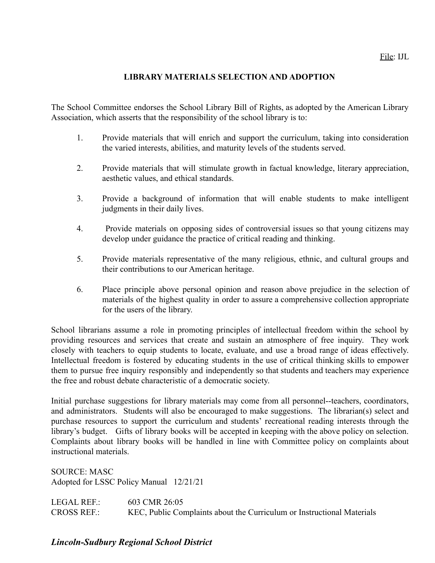# **LIBRARY MATERIALS SELECTION AND ADOPTION**

The School Committee endorses the School Library Bill of Rights, as adopted by the American Library Association, which asserts that the responsibility of the school library is to:

- 1. Provide materials that will enrich and support the curriculum, taking into consideration the varied interests, abilities, and maturity levels of the students served.
- 2. Provide materials that will stimulate growth in factual knowledge, literary appreciation, aesthetic values, and ethical standards.
- 3. Provide a background of information that will enable students to make intelligent judgments in their daily lives.
- 4. Provide materials on opposing sides of controversial issues so that young citizens may develop under guidance the practice of critical reading and thinking.
- 5. Provide materials representative of the many religious, ethnic, and cultural groups and their contributions to our American heritage.
- 6. Place principle above personal opinion and reason above prejudice in the selection of materials of the highest quality in order to assure a comprehensive collection appropriate for the users of the library.

School librarians assume a role in promoting principles of intellectual freedom within the school by providing resources and services that create and sustain an atmosphere of free inquiry. They work closely with teachers to equip students to locate, evaluate, and use a broad range of ideas effectively. Intellectual freedom is fostered by educating students in the use of critical thinking skills to empower them to pursue free inquiry responsibly and independently so that students and teachers may experience the free and robust debate characteristic of a democratic society.

Initial purchase suggestions for library materials may come from all personnel--teachers, coordinators, and administrators. Students will also be encouraged to make suggestions. The librarian(s) select and purchase resources to support the curriculum and students' recreational reading interests through the library's budget. Gifts of library books will be accepted in keeping with the above policy on selection. Complaints about library books will be handled in line with Committee policy on complaints about instructional materials.

SOURCE: MASC Adopted for LSSC Policy Manual 12/21/21

LEGAL REF.: 603 CMR 26:05 CROSS REF.: KEC, Public Complaints about the Curriculum or Instructional Materials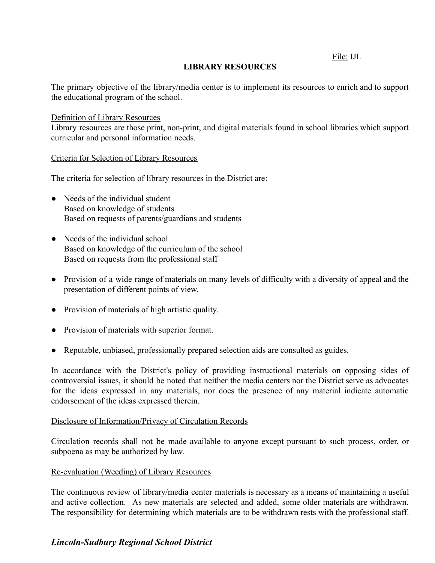File: IJL

# **LIBRARY RESOURCES**

The primary objective of the library/media center is to implement its resources to enrich and to support the educational program of the school.

#### Definition of Library Resources

Library resources are those print, non-print, and digital materials found in school libraries which support curricular and personal information needs.

#### Criteria for Selection of Library Resources

The criteria for selection of library resources in the District are:

- Needs of the individual student Based on knowledge of students Based on requests of parents/guardians and students
- Needs of the individual school Based on knowledge of the curriculum of the school Based on requests from the professional staff
- Provision of a wide range of materials on many levels of difficulty with a diversity of appeal and the presentation of different points of view.
- Provision of materials of high artistic quality.
- Provision of materials with superior format.
- Reputable, unbiased, professionally prepared selection aids are consulted as guides.

In accordance with the District's policy of providing instructional materials on opposing sides of controversial issues, it should be noted that neither the media centers nor the District serve as advocates for the ideas expressed in any materials, nor does the presence of any material indicate automatic endorsement of the ideas expressed therein.

#### Disclosure of Information/Privacy of Circulation Records

Circulation records shall not be made available to anyone except pursuant to such process, order, or subpoena as may be authorized by law.

#### Re-evaluation (Weeding) of Library Resources

The continuous review of library/media center materials is necessary as a means of maintaining a useful and active collection. As new materials are selected and added, some older materials are withdrawn. The responsibility for determining which materials are to be withdrawn rests with the professional staff.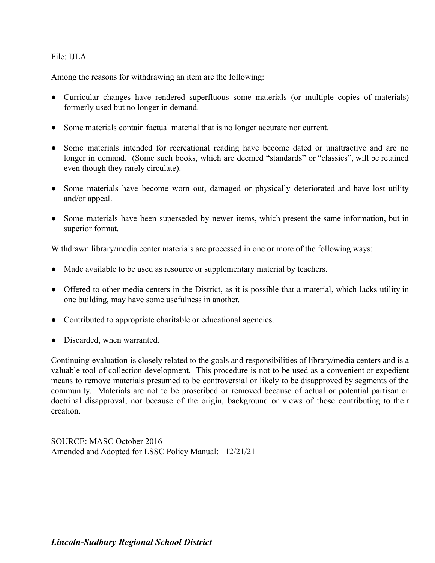# File: IJLA

Among the reasons for withdrawing an item are the following:

- Curricular changes have rendered superfluous some materials (or multiple copies of materials) formerly used but no longer in demand.
- Some materials contain factual material that is no longer accurate nor current.
- Some materials intended for recreational reading have become dated or unattractive and are no longer in demand. (Some such books, which are deemed "standards" or "classics", will be retained even though they rarely circulate).
- Some materials have become worn out, damaged or physically deteriorated and have lost utility and/or appeal.
- Some materials have been superseded by newer items, which present the same information, but in superior format.

Withdrawn library/media center materials are processed in one or more of the following ways:

- Made available to be used as resource or supplementary material by teachers.
- Offered to other media centers in the District, as it is possible that a material, which lacks utility in one building, may have some usefulness in another.
- Contributed to appropriate charitable or educational agencies.
- Discarded, when warranted.

Continuing evaluation is closely related to the goals and responsibilities of library/media centers and is a valuable tool of collection development. This procedure is not to be used as a convenient or expedient means to remove materials presumed to be controversial or likely to be disapproved by segments of the community. Materials are not to be proscribed or removed because of actual or potential partisan or doctrinal disapproval, nor because of the origin, background or views of those contributing to their creation.

SOURCE: MASC October 2016 Amended and Adopted for LSSC Policy Manual: 12/21/21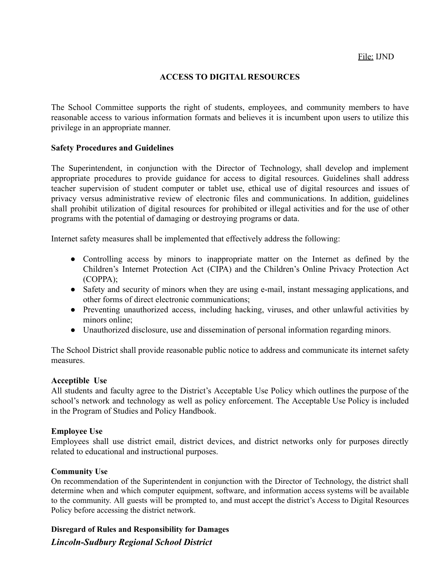#### **ACCESS TO DIGITAL RESOURCES**

The School Committee supports the right of students, employees, and community members to have reasonable access to various information formats and believes it is incumbent upon users to utilize this privilege in an appropriate manner.

#### **Safety Procedures and Guidelines**

The Superintendent, in conjunction with the Director of Technology, shall develop and implement appropriate procedures to provide guidance for access to digital resources. Guidelines shall address teacher supervision of student computer or tablet use, ethical use of digital resources and issues of privacy versus administrative review of electronic files and communications. In addition, guidelines shall prohibit utilization of digital resources for prohibited or illegal activities and for the use of other programs with the potential of damaging or destroying programs or data.

Internet safety measures shall be implemented that effectively address the following:

- Controlling access by minors to inappropriate matter on the Internet as defined by the Children's Internet Protection Act (CIPA) and the Children's Online Privacy Protection Act (COPPA);
- Safety and security of minors when they are using e-mail, instant messaging applications, and other forms of direct electronic communications;
- Preventing unauthorized access, including hacking, viruses, and other unlawful activities by minors online;
- Unauthorized disclosure, use and dissemination of personal information regarding minors.

The School District shall provide reasonable public notice to address and communicate its internet safety measures.

#### **Acceptible Use**

All students and faculty agree to the District's Acceptable Use Policy which outlines the purpose of the school's network and technology as well as policy enforcement. The Acceptable Use Policy is included in the Program of Studies and Policy Handbook.

#### **Employee Use**

Employees shall use district email, district devices, and district networks only for purposes directly related to educational and instructional purposes.

#### **Community Use**

On recommendation of the Superintendent in conjunction with the Director of Technology, the district shall determine when and which computer equipment, software, and information access systems will be available to the community. All guests will be prompted to, and must accept the district's Access to Digital Resources Policy before accessing the district network.

**Disregard of Rules and Responsibility for Damages**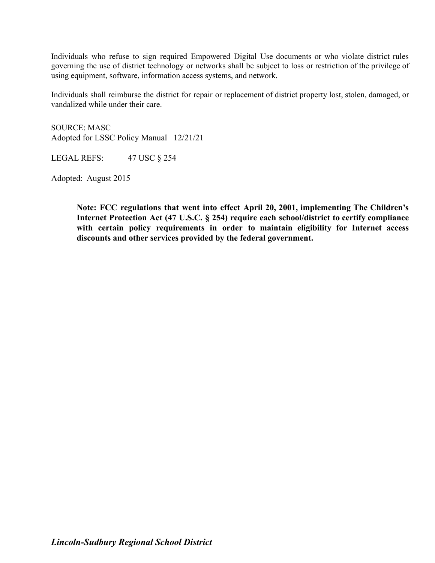Individuals who refuse to sign required Empowered Digital Use documents or who violate district rules governing the use of district technology or networks shall be subject to loss or restriction of the privilege of using equipment, software, information access systems, and network.

Individuals shall reimburse the district for repair or replacement of district property lost, stolen, damaged, or vandalized while under their care.

SOURCE: MASC Adopted for LSSC Policy Manual 12/21/21

LEGAL REFS: 47 USC § 254

Adopted: August 2015

**Note: FCC regulations that went into effect April 20, 2001, implementing The Children's Internet Protection Act (47 U.S.C. § 254) require each school/district to certify compliance with certain policy requirements in order to maintain eligibility for Internet access discounts and other services provided by the federal government.**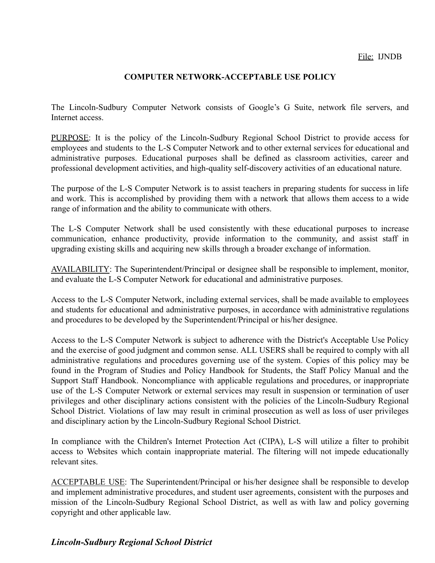# **COMPUTER NETWORK-ACCEPTABLE USE POLICY**

The Lincoln-Sudbury Computer Network consists of Google's G Suite, network file servers, and Internet access.

PURPOSE: It is the policy of the Lincoln-Sudbury Regional School District to provide access for employees and students to the L-S Computer Network and to other external services for educational and administrative purposes. Educational purposes shall be defined as classroom activities, career and professional development activities, and high-quality self-discovery activities of an educational nature.

The purpose of the L-S Computer Network is to assist teachers in preparing students for success in life and work. This is accomplished by providing them with a network that allows them access to a wide range of information and the ability to communicate with others.

The L-S Computer Network shall be used consistently with these educational purposes to increase communication, enhance productivity, provide information to the community, and assist staff in upgrading existing skills and acquiring new skills through a broader exchange of information.

AVAILABILITY: The Superintendent/Principal or designee shall be responsible to implement, monitor, and evaluate the L-S Computer Network for educational and administrative purposes.

Access to the L-S Computer Network, including external services, shall be made available to employees and students for educational and administrative purposes, in accordance with administrative regulations and procedures to be developed by the Superintendent/Principal or his/her designee.

Access to the L-S Computer Network is subject to adherence with the District's Acceptable Use Policy and the exercise of good judgment and common sense. ALL USERS shall be required to comply with all administrative regulations and procedures governing use of the system. Copies of this policy may be found in the Program of Studies and Policy Handbook for Students, the Staff Policy Manual and the Support Staff Handbook. Noncompliance with applicable regulations and procedures, or inappropriate use of the L-S Computer Network or external services may result in suspension or termination of user privileges and other disciplinary actions consistent with the policies of the Lincoln-Sudbury Regional School District. Violations of law may result in criminal prosecution as well as loss of user privileges and disciplinary action by the Lincoln-Sudbury Regional School District.

In compliance with the Children's Internet Protection Act (CIPA), L-S will utilize a filter to prohibit access to Websites which contain inappropriate material. The filtering will not impede educationally relevant sites.

ACCEPTABLE USE: The Superintendent/Principal or his/her designee shall be responsible to develop and implement administrative procedures, and student user agreements, consistent with the purposes and mission of the Lincoln-Sudbury Regional School District, as well as with law and policy governing copyright and other applicable law.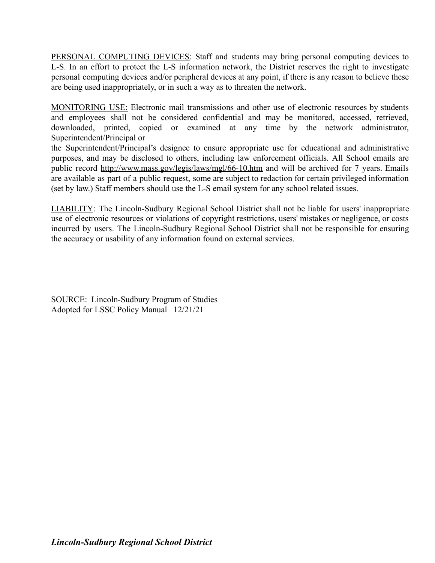PERSONAL COMPUTING DEVICES: Staff and students may bring personal computing devices to L-S. In an effort to protect the L-S information network, the District reserves the right to investigate personal computing devices and/or peripheral devices at any point, if there is any reason to believe these are being used inappropriately, or in such a way as to threaten the network.

MONITORING USE: Electronic mail transmissions and other use of electronic resources by students and employees shall not be considered confidential and may be monitored, accessed, retrieved, downloaded, printed, copied or examined at any time by the network administrator, Superintendent/Principal or

the Superintendent/Principal's designee to ensure appropriate use for educational and administrative purposes, and may be disclosed to others, including law enforcement officials. All School emails are public record <http://www.mass.gov/legis/laws/mgl/66-10.htm> and will be archived for 7 years. Emails are available as part of a public request, some are subject to redaction for certain privileged information (set by law.) Staff members should use the L-S email system for any school related issues.

LIABILITY: The Lincoln-Sudbury Regional School District shall not be liable for users' inappropriate use of electronic resources or violations of copyright restrictions, users' mistakes or negligence, or costs incurred by users. The Lincoln-Sudbury Regional School District shall not be responsible for ensuring the accuracy or usability of any information found on external services.

SOURCE: Lincoln-Sudbury Program of Studies Adopted for LSSC Policy Manual 12/21/21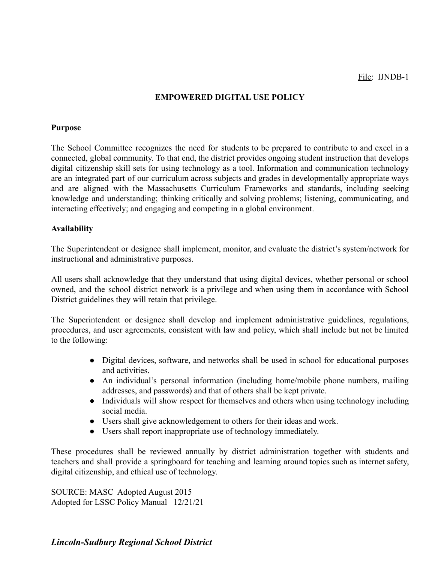# **EMPOWERED DIGITAL USE POLICY**

#### **Purpose**

The School Committee recognizes the need for students to be prepared to contribute to and excel in a connected, global community. To that end, the district provides ongoing student instruction that develops digital citizenship skill sets for using technology as a tool. Information and communication technology are an integrated part of our curriculum across subjects and grades in developmentally appropriate ways and are aligned with the Massachusetts Curriculum Frameworks and standards, including seeking knowledge and understanding; thinking critically and solving problems; listening, communicating, and interacting effectively; and engaging and competing in a global environment.

#### **Availability**

The Superintendent or designee shall implement, monitor, and evaluate the district's system/network for instructional and administrative purposes.

All users shall acknowledge that they understand that using digital devices, whether personal or school owned, and the school district network is a privilege and when using them in accordance with School District guidelines they will retain that privilege.

The Superintendent or designee shall develop and implement administrative guidelines, regulations, procedures, and user agreements, consistent with law and policy, which shall include but not be limited to the following:

- Digital devices, software, and networks shall be used in school for educational purposes and activities.
- An individual's personal information (including home/mobile phone numbers, mailing addresses, and passwords) and that of others shall be kept private.
- Individuals will show respect for themselves and others when using technology including social media.
- Users shall give acknowledgement to others for their ideas and work.
- Users shall report inappropriate use of technology immediately.

These procedures shall be reviewed annually by district administration together with students and teachers and shall provide a springboard for teaching and learning around topics such as internet safety, digital citizenship, and ethical use of technology.

SOURCE: MASC Adopted August 2015 Adopted for LSSC Policy Manual 12/21/21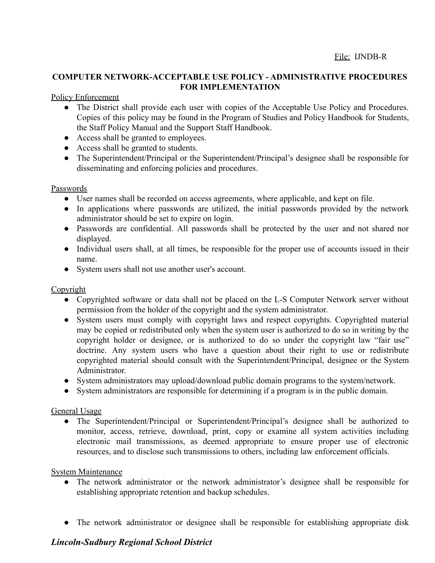# **COMPUTER NETWORK-ACCEPTABLE USE POLICY - ADMINISTRATIVE PROCEDURES FOR IMPLEMENTATION**

#### Policy Enforcement

- The District shall provide each user with copies of the Acceptable Use Policy and Procedures. Copies of this policy may be found in the Program of Studies and Policy Handbook for Students, the Staff Policy Manual and the Support Staff Handbook.
- Access shall be granted to employees.
- Access shall be granted to students.
- The Superintendent/Principal or the Superintendent/Principal's designee shall be responsible for disseminating and enforcing policies and procedures.

#### Passwords

- User names shall be recorded on access agreements, where applicable, and kept on file.
- In applications where passwords are utilized, the initial passwords provided by the network administrator should be set to expire on login.
- Passwords are confidential. All passwords shall be protected by the user and not shared nor displayed.
- Individual users shall, at all times, be responsible for the proper use of accounts issued in their name.
- System users shall not use another user's account.

# **Copyright**

- Copyrighted software or data shall not be placed on the L-S Computer Network server without permission from the holder of the copyright and the system administrator.
- System users must comply with copyright laws and respect copyrights. Copyrighted material may be copied or redistributed only when the system user is authorized to do so in writing by the copyright holder or designee, or is authorized to do so under the copyright law "fair use" doctrine. Any system users who have a question about their right to use or redistribute copyrighted material should consult with the Superintendent/Principal, designee or the System Administrator.
- System administrators may upload/download public domain programs to the system/network.
- System administrators are responsible for determining if a program is in the public domain.

# General Usage

● The Superintendent/Principal or Superintendent/Principal's designee shall be authorized to monitor, access, retrieve, download, print, copy or examine all system activities including electronic mail transmissions, as deemed appropriate to ensure proper use of electronic resources, and to disclose such transmissions to others, including law enforcement officials.

#### System Maintenance

- The network administrator or the network administrator's designee shall be responsible for establishing appropriate retention and backup schedules.
- The network administrator or designee shall be responsible for establishing appropriate disk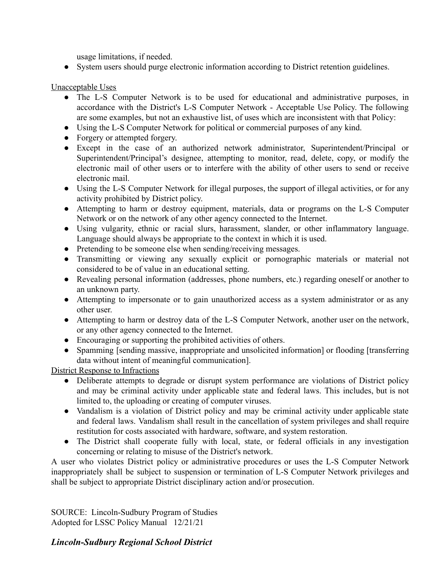usage limitations, if needed.

● System users should purge electronic information according to District retention guidelines.

# Unacceptable Uses

- The L-S Computer Network is to be used for educational and administrative purposes, in accordance with the District's L-S Computer Network - Acceptable Use Policy. The following are some examples, but not an exhaustive list, of uses which are inconsistent with that Policy:
- Using the L-S Computer Network for political or commercial purposes of any kind.
- Forgery or attempted forgery.
- Except in the case of an authorized network administrator, Superintendent/Principal or Superintendent/Principal's designee, attempting to monitor, read, delete, copy, or modify the electronic mail of other users or to interfere with the ability of other users to send or receive electronic mail.
- Using the L-S Computer Network for illegal purposes, the support of illegal activities, or for any activity prohibited by District policy.
- Attempting to harm or destroy equipment, materials, data or programs on the L-S Computer Network or on the network of any other agency connected to the Internet.
- Using vulgarity, ethnic or racial slurs, harassment, slander, or other inflammatory language. Language should always be appropriate to the context in which it is used.
- Pretending to be someone else when sending/receiving messages.
- Transmitting or viewing any sexually explicit or pornographic materials or material not considered to be of value in an educational setting.
- Revealing personal information (addresses, phone numbers, etc.) regarding oneself or another to an unknown party.
- Attempting to impersonate or to gain unauthorized access as a system administrator or as any other user.
- Attempting to harm or destroy data of the L-S Computer Network, another user on the network, or any other agency connected to the Internet.
- Encouraging or supporting the prohibited activities of others.
- Spamming [sending massive, inappropriate and unsolicited information] or flooding [transferring data without intent of meaningful communication].

District Response to Infractions

- Deliberate attempts to degrade or disrupt system performance are violations of District policy and may be criminal activity under applicable state and federal laws. This includes, but is not limited to, the uploading or creating of computer viruses.
- Vandalism is a violation of District policy and may be criminal activity under applicable state and federal laws. Vandalism shall result in the cancellation of system privileges and shall require restitution for costs associated with hardware, software, and system restoration.
- The District shall cooperate fully with local, state, or federal officials in any investigation concerning or relating to misuse of the District's network.

A user who violates District policy or administrative procedures or uses the L-S Computer Network inappropriately shall be subject to suspension or termination of L-S Computer Network privileges and shall be subject to appropriate District disciplinary action and/or prosecution.

SOURCE: Lincoln-Sudbury Program of Studies Adopted for LSSC Policy Manual 12/21/21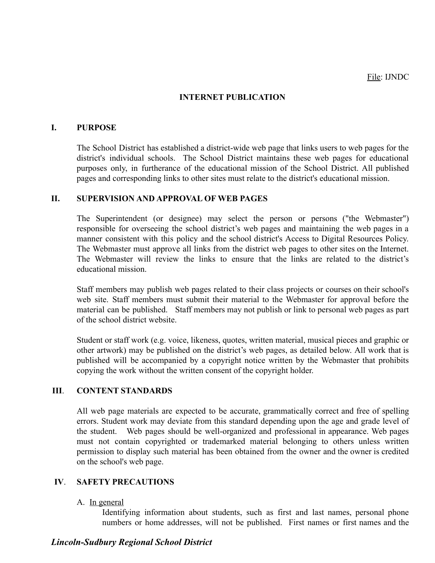# **INTERNET PUBLICATION**

#### **I. PURPOSE**

The School District has established a district-wide web page that links users to web pages for the district's individual schools. The School District maintains these web pages for educational purposes only, in furtherance of the educational mission of the School District. All published pages and corresponding links to other sites must relate to the district's educational mission.

#### **II. SUPERVISION AND APPROVAL OF WEB PAGES**

The Superintendent (or designee) may select the person or persons ("the Webmaster") responsible for overseeing the school district's web pages and maintaining the web pages in a manner consistent with this policy and the school district's Access to Digital Resources Policy. The Webmaster must approve all links from the district web pages to other sites on the Internet. The Webmaster will review the links to ensure that the links are related to the district's educational mission.

Staff members may publish web pages related to their class projects or courses on their school's web site. Staff members must submit their material to the Webmaster for approval before the material can be published. Staff members may not publish or link to personal web pages as part of the school district website.

Student or staff work (e.g. voice, likeness, quotes, written material, musical pieces and graphic or other artwork) may be published on the district's web pages, as detailed below. All work that is published will be accompanied by a copyright notice written by the Webmaster that prohibits copying the work without the written consent of the copyright holder.

#### **III**. **CONTENT STANDARDS**

All web page materials are expected to be accurate, grammatically correct and free of spelling errors. Student work may deviate from this standard depending upon the age and grade level of the student. Web pages should be well-organized and professional in appearance. Web pages must not contain copyrighted or trademarked material belonging to others unless written permission to display such material has been obtained from the owner and the owner is credited on the school's web page.

#### **IV**. **SAFETY PRECAUTIONS**

#### A. In general

Identifying information about students, such as first and last names, personal phone numbers or home addresses, will not be published. First names or first names and the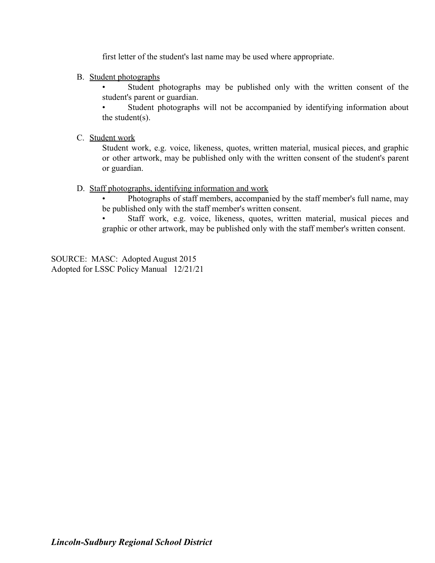first letter of the student's last name may be used where appropriate.

B. Student photographs

Student photographs may be published only with the written consent of the student's parent or guardian.

Student photographs will not be accompanied by identifying information about the student(s).

C. Student work

Student work, e.g. voice, likeness, quotes, written material, musical pieces, and graphic or other artwork, may be published only with the written consent of the student's parent or guardian.

D. Staff photographs, identifying information and work

• Photographs of staff members, accompanied by the staff member's full name, may be published only with the staff member's written consent.

Staff work, e.g. voice, likeness, quotes, written material, musical pieces and graphic or other artwork, may be published only with the staff member's written consent.

SOURCE: MASC: Adopted August 2015 Adopted for LSSC Policy Manual 12/21/21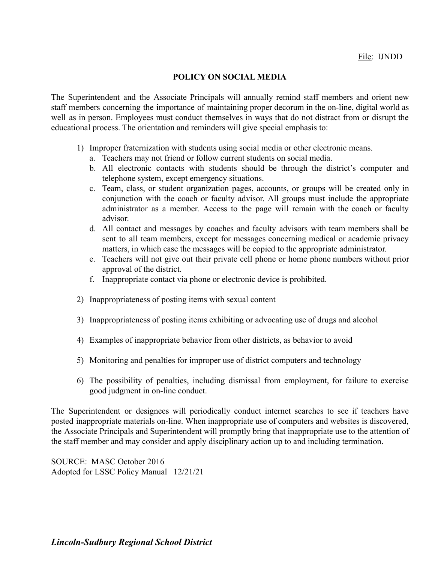# **POLICY ON SOCIAL MEDIA**

The Superintendent and the Associate Principals will annually remind staff members and orient new staff members concerning the importance of maintaining proper decorum in the on-line, digital world as well as in person. Employees must conduct themselves in ways that do not distract from or disrupt the educational process. The orientation and reminders will give special emphasis to:

- 1) Improper fraternization with students using social media or other electronic means.
	- a. Teachers may not friend or follow current students on social media.
	- b. All electronic contacts with students should be through the district's computer and telephone system, except emergency situations.
	- c. Team, class, or student organization pages, accounts, or groups will be created only in conjunction with the coach or faculty advisor. All groups must include the appropriate administrator as a member. Access to the page will remain with the coach or faculty advisor.
	- d. All contact and messages by coaches and faculty advisors with team members shall be sent to all team members, except for messages concerning medical or academic privacy matters, in which case the messages will be copied to the appropriate administrator.
	- e. Teachers will not give out their private cell phone or home phone numbers without prior approval of the district.
	- f. Inappropriate contact via phone or electronic device is prohibited.
- 2) Inappropriateness of posting items with sexual content
- 3) Inappropriateness of posting items exhibiting or advocating use of drugs and alcohol
- 4) Examples of inappropriate behavior from other districts, as behavior to avoid
- 5) Monitoring and penalties for improper use of district computers and technology
- 6) The possibility of penalties, including dismissal from employment, for failure to exercise good judgment in on-line conduct.

The Superintendent or designees will periodically conduct internet searches to see if teachers have posted inappropriate materials on-line. When inappropriate use of computers and websites is discovered, the Associate Principals and Superintendent will promptly bring that inappropriate use to the attention of the staff member and may consider and apply disciplinary action up to and including termination.

SOURCE: MASC October 2016 Adopted for LSSC Policy Manual 12/21/21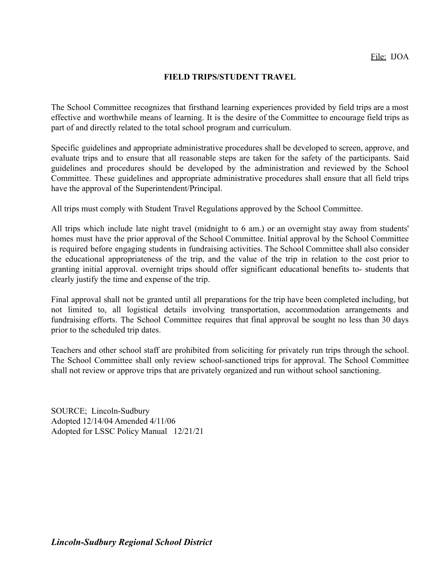#### **FIELD TRIPS/STUDENT TRAVEL**

The School Committee recognizes that firsthand learning experiences provided by field trips are a most effective and worthwhile means of learning. It is the desire of the Committee to encourage field trips as part of and directly related to the total school program and curriculum.

Specific guidelines and appropriate administrative procedures shall be developed to screen, approve, and evaluate trips and to ensure that all reasonable steps are taken for the safety of the participants. Said guidelines and procedures should be developed by the administration and reviewed by the School Committee. These guidelines and appropriate administrative procedures shall ensure that all field trips have the approval of the Superintendent/Principal.

All trips must comply with Student Travel Regulations approved by the School Committee.

All trips which include late night travel (midnight to 6 am.) or an overnight stay away from students' homes must have the prior approval of the School Committee. Initial approval by the School Committee is required before engaging students in fundraising activities. The School Committee shall also consider the educational appropriateness of the trip, and the value of the trip in relation to the cost prior to granting initial approval. overnight trips should offer significant educational benefits to- students that clearly justify the time and expense of the trip.

Final approval shall not be granted until all preparations for the trip have been completed including, but not limited to, all logistical details involving transportation, accommodation arrangements and fundraising efforts. The School Committee requires that final approval be sought no less than 30 days prior to the scheduled trip dates.

Teachers and other school staff are prohibited from soliciting for privately run trips through the school. The School Committee shall only review school-sanctioned trips for approval. The School Committee shall not review or approve trips that are privately organized and run without school sanctioning.

SOURCE; Lincoln-Sudbury Adopted 12/14/04 Amended 4/11/06 Adopted for LSSC Policy Manual 12/21/21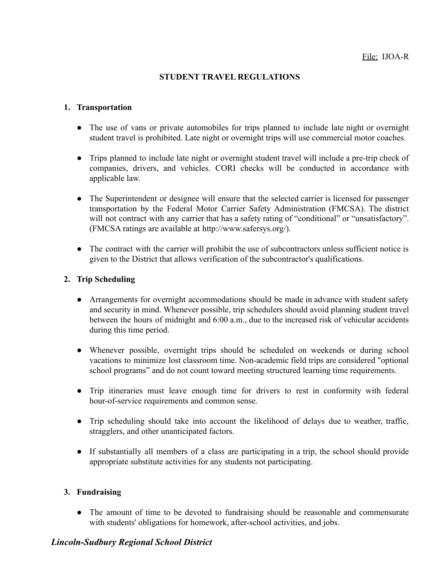# **STUDENT TRAVEL REGULATIONS**

# **1. Transportation**

- The use of vans or private automobiles for trips planned to include late night or overnight student travel is prohibited. Late night or overnight trips will use commercial motor coaches.
- Trips planned to include late night or overnight student travel will include a pre-trip check of companies, drivers, and vehicles. CORI checks will be conducted in accordance with applicable law.
- The Superintendent or designee will ensure that the selected carrier is licensed for passenger transportation by the Federal Motor Carrier Safety Administration (FMCSA). The district will not contract with any carrier that has a safety rating of "conditional" or "unsatisfactory". (FMCSA ratings are available at [http://www.safersys.org/\).](http://www.safersys.org/))
- The contract with the carrier will prohibit the use of subcontractors unless sufficient notice is given to the District that allows verification of the subcontractor's qualifications.

# **2. Trip Scheduling**

- Arrangements for overnight accommodations should be made in advance with student safety and security in mind. Whenever possible, trip schedulers should avoid planning student travel between the hours of midnight and 6:00 a.m., due to the increased risk of vehicular accidents during this time period.
- Whenever possible, overnight trips should be scheduled on weekends or during school vacations to minimize lost classroom time. Non-academic field trips are considered "optional school programs" and do not count toward meeting structured learning time requirements.
- Trip itineraries must leave enough time for drivers to rest in conformity with federal hour-of-service requirements and common sense.
- Trip scheduling should take into account the likelihood of delays due to weather, traffic, stragglers, and other unanticipated factors.
- If substantially all members of a class are participating in a trip, the school should provide appropriate substitute activities for any students not participating.

# **3. Fundraising**

• The amount of time to be devoted to fundraising should be reasonable and commensurate with students' obligations for homework, after-school activities, and jobs.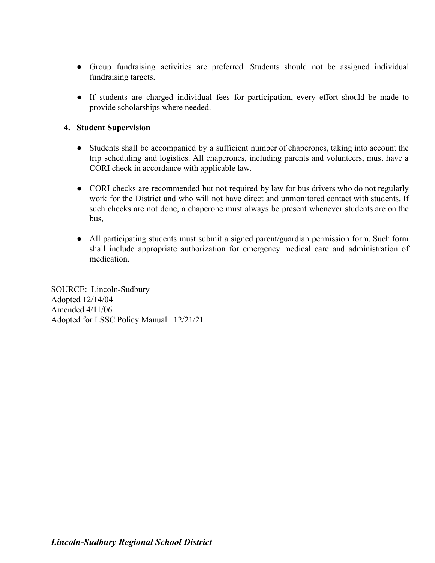- Group fundraising activities are preferred. Students should not be assigned individual fundraising targets.
- If students are charged individual fees for participation, every effort should be made to provide scholarships where needed.

# **4. Student Supervision**

- Students shall be accompanied by a sufficient number of chaperones, taking into account the trip scheduling and logistics. All chaperones, including parents and volunteers, must have a CORI check in accordance with applicable law.
- CORI checks are recommended but not required by law for bus drivers who do not regularly work for the District and who will not have direct and unmonitored contact with students. If such checks are not done, a chaperone must always be present whenever students are on the bus,
- All participating students must submit a signed parent/guardian permission form. Such form shall include appropriate authorization for emergency medical care and administration of medication.

SOURCE: Lincoln-Sudbury Adopted 12/14/04 Amended 4/11/06 Adopted for LSSC Policy Manual 12/21/21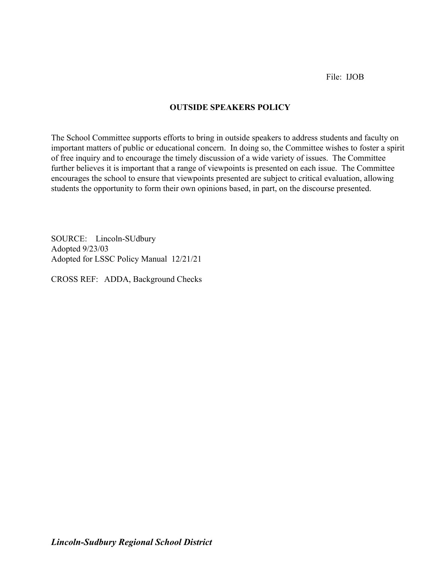File: IJOB

# **OUTSIDE SPEAKERS POLICY**

The School Committee supports efforts to bring in outside speakers to address students and faculty on important matters of public or educational concern. In doing so, the Committee wishes to foster a spirit of free inquiry and to encourage the timely discussion of a wide variety of issues. The Committee further believes it is important that a range of viewpoints is presented on each issue. The Committee encourages the school to ensure that viewpoints presented are subject to critical evaluation, allowing students the opportunity to form their own opinions based, in part, on the discourse presented.

SOURCE: Lincoln-SUdbury Adopted 9/23/03 Adopted for LSSC Policy Manual 12/21/21

CROSS REF: ADDA, Background Checks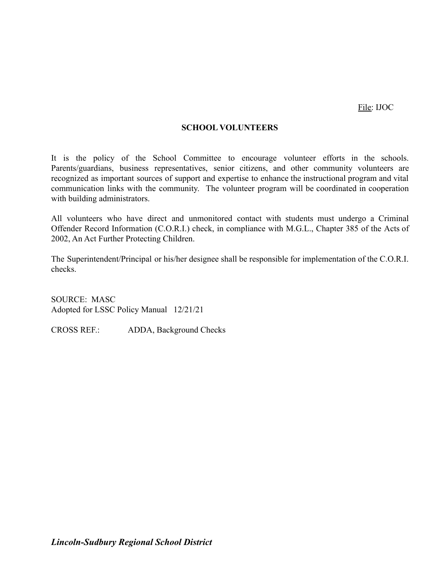File: IJOC

#### **SCHOOL VOLUNTEERS**

It is the policy of the School Committee to encourage volunteer efforts in the schools. Parents/guardians, business representatives, senior citizens, and other community volunteers are recognized as important sources of support and expertise to enhance the instructional program and vital communication links with the community. The volunteer program will be coordinated in cooperation with building administrators.

All volunteers who have direct and unmonitored contact with students must undergo a Criminal Offender Record Information (C.O.R.I.) check, in compliance with M.G.L., Chapter 385 of the Acts of 2002, An Act Further Protecting Children.

The Superintendent/Principal or his/her designee shall be responsible for implementation of the C.O.R.I. checks.

SOURCE: MASC Adopted for LSSC Policy Manual 12/21/21

CROSS REF.: ADDA, Background Checks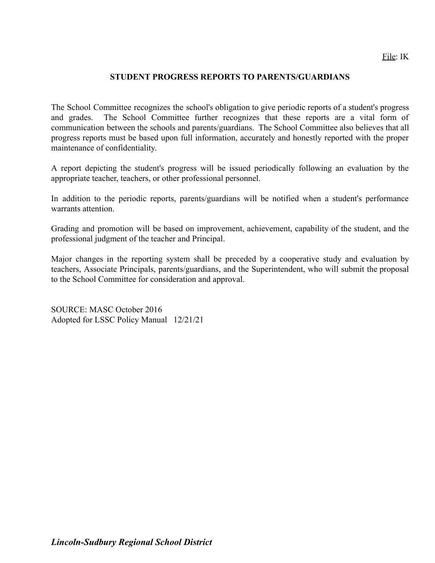#### **STUDENT PROGRESS REPORTS TO PARENTS/GUARDIANS**

The School Committee recognizes the school's obligation to give periodic reports of a student's progress and grades. The School Committee further recognizes that these reports are a vital form of communication between the schools and parents/guardians. The School Committee also believes that all progress reports must be based upon full information, accurately and honestly reported with the proper maintenance of confidentiality.

A report depicting the student's progress will be issued periodically following an evaluation by the appropriate teacher, teachers, or other professional personnel.

In addition to the periodic reports, parents/guardians will be notified when a student's performance warrants attention.

Grading and promotion will be based on improvement, achievement, capability of the student, and the professional judgment of the teacher and Principal.

Major changes in the reporting system shall be preceded by a cooperative study and evaluation by teachers, Associate Principals, parents/guardians, and the Superintendent, who will submit the proposal to the School Committee for consideration and approval.

SOURCE: MASC October 2016 Adopted for LSSC Policy Manual 12/21/21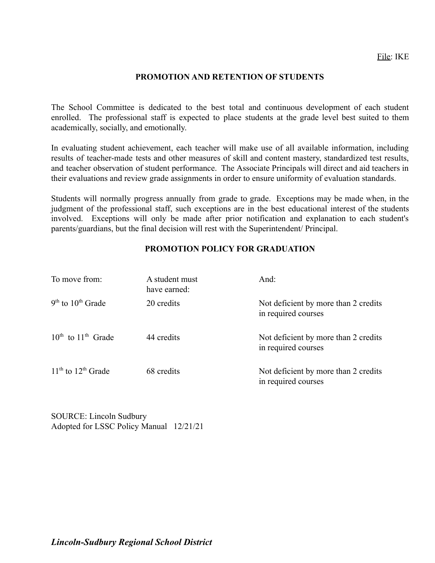#### **PROMOTION AND RETENTION OF STUDENTS**

The School Committee is dedicated to the best total and continuous development of each student enrolled. The professional staff is expected to place students at the grade level best suited to them academically, socially, and emotionally.

In evaluating student achievement, each teacher will make use of all available information, including results of teacher-made tests and other measures of skill and content mastery, standardized test results, and teacher observation of student performance. The Associate Principals will direct and aid teachers in their evaluations and review grade assignments in order to ensure uniformity of evaluation standards.

Students will normally progress annually from grade to grade. Exceptions may be made when, in the judgment of the professional staff, such exceptions are in the best educational interest of the students involved. Exceptions will only be made after prior notification and explanation to each student's parents/guardians, but the final decision will rest with the Superintendent/ Principal.

#### **PROMOTION POLICY FOR GRADUATION**

| To move from:                | A student must<br>have earned: | And:                                                        |
|------------------------------|--------------------------------|-------------------------------------------------------------|
| $9th$ to $10th$ Grade        | 20 credits                     | Not deficient by more than 2 credits<br>in required courses |
| $10^{th}$ to $11^{th}$ Grade | 44 credits                     | Not deficient by more than 2 credits<br>in required courses |
| $11th$ to $12th$ Grade       | 68 credits                     | Not deficient by more than 2 credits<br>in required courses |

SOURCE: Lincoln Sudbury Adopted for LSSC Policy Manual 12/21/21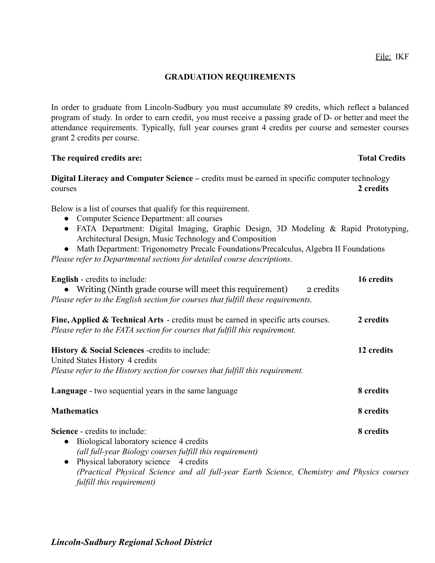#### **GRADUATION REQUIREMENTS**

In order to graduate from Lincoln-Sudbury you must accumulate 89 credits, which reflect a balanced program of study. In order to earn credit, you must receive a passing grade of D- or better and meet the attendance requirements. Typically, full year courses grant 4 credits per course and semester courses grant 2 credits per course.

#### **The required credits are: Total Credits**

**Digital Literacy and Computer Science –** credits must be earned in specific computer technology courses **2 credits**

Below is a list of courses that qualify for this requirement.

- Computer Science Department: all courses
- FATA Department: Digital Imaging, Graphic Design, 3D Modeling & Rapid Prototyping, Architectural Design, Music Technology and Composition
- Math Department: Trigonometry Precalc Foundations/Precalculus, Algebra II Foundations *Please refer to Departmental sections for detailed course descriptions.*

| <b>English</b> - credits to include:<br>Writing (Ninth grade course will meet this requirement)<br>2 credits<br>Please refer to the English section for courses that fulfill these requirements.                                                                                                                                          | 16 credits |
|-------------------------------------------------------------------------------------------------------------------------------------------------------------------------------------------------------------------------------------------------------------------------------------------------------------------------------------------|------------|
| <b>Fine, Applied &amp; Technical Arts</b> - credits must be earned in specific arts courses.<br>Please refer to the FATA section for courses that fulfill this requirement.                                                                                                                                                               | 2 credits  |
| <b>History &amp; Social Sciences</b> -credits to include:<br>United States History 4 credits<br>Please refer to the History section for courses that fulfill this requirement.                                                                                                                                                            | 12 credits |
| <b>Language</b> - two sequential years in the same language                                                                                                                                                                                                                                                                               | 8 credits  |
| <b>Mathematics</b>                                                                                                                                                                                                                                                                                                                        | 8 credits  |
| <b>Science</b> - credits to include:<br>Biological laboratory science 4 credits<br>$\bullet$<br>(all full-year Biology courses fulfill this requirement)<br>Physical laboratory science 4 credits<br>$\bullet$<br>(Practical Physical Science and all full-year Earth Science, Chemistry and Physics courses<br>fulfill this requirement) | 8 credits  |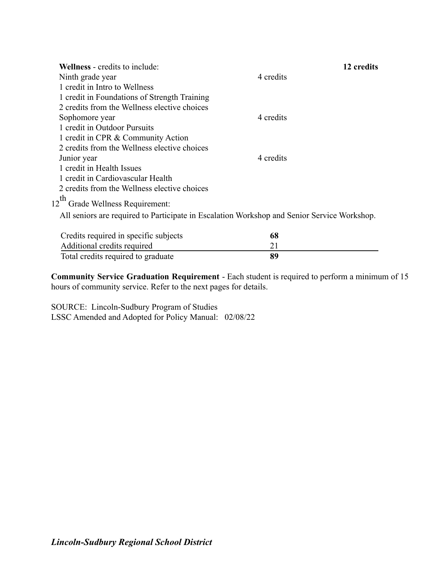| <b>Wellness</b> - credits to include:                                                       |           | 12 credits |
|---------------------------------------------------------------------------------------------|-----------|------------|
| Ninth grade year                                                                            | 4 credits |            |
| 1 credit in Intro to Wellness                                                               |           |            |
| 1 credit in Foundations of Strength Training                                                |           |            |
| 2 credits from the Wellness elective choices                                                |           |            |
| Sophomore year                                                                              | 4 credits |            |
| 1 credit in Outdoor Pursuits                                                                |           |            |
| 1 credit in CPR & Community Action                                                          |           |            |
| 2 credits from the Wellness elective choices                                                |           |            |
| Junior year                                                                                 | 4 credits |            |
| 1 credit in Health Issues                                                                   |           |            |
| 1 credit in Cardiovascular Health                                                           |           |            |
| 2 credits from the Wellness elective choices                                                |           |            |
| 12 <sup>th</sup> Grade Wellness Requirement:                                                |           |            |
| All seniors are required to Participate in Escalation Workshop and Senior Service Workshop. |           |            |
| Cradita required in greethe gubiects                                                        | CO.       |            |

| Credits required in specific subjects | 68 |
|---------------------------------------|----|
| Additional credits required           |    |
| Total credits required to graduate    | 89 |

**Community Service Graduation Requirement** - Each student is required to perform a minimum of 15 hours of community service. Refer to the next pages for details.

SOURCE: Lincoln-Sudbury Program of Studies LSSC Amended and Adopted for Policy Manual: 02/08/22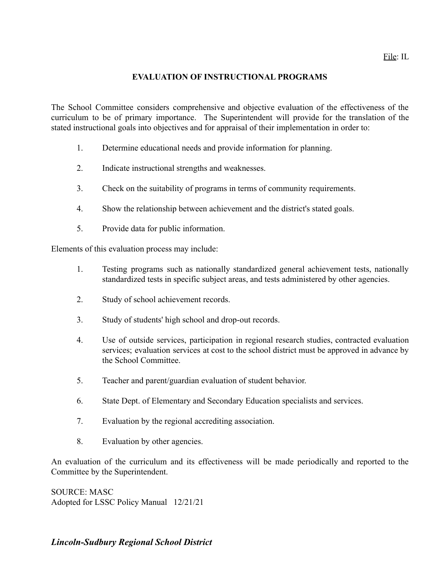#### File: IL

#### **EVALUATION OF INSTRUCTIONAL PROGRAMS**

The School Committee considers comprehensive and objective evaluation of the effectiveness of the curriculum to be of primary importance. The Superintendent will provide for the translation of the stated instructional goals into objectives and for appraisal of their implementation in order to:

- 1. Determine educational needs and provide information for planning.
- 2. Indicate instructional strengths and weaknesses.
- 3. Check on the suitability of programs in terms of community requirements.
- 4. Show the relationship between achievement and the district's stated goals.
- 5. Provide data for public information.

Elements of this evaluation process may include:

- 1. Testing programs such as nationally standardized general achievement tests, nationally standardized tests in specific subject areas, and tests administered by other agencies.
- 2. Study of school achievement records.
- 3. Study of students' high school and drop-out records.
- 4. Use of outside services, participation in regional research studies, contracted evaluation services; evaluation services at cost to the school district must be approved in advance by the School Committee.
- 5. Teacher and parent/guardian evaluation of student behavior.
- 6. State Dept. of Elementary and Secondary Education specialists and services.
- 7. Evaluation by the regional accrediting association.
- 8. Evaluation by other agencies.

An evaluation of the curriculum and its effectiveness will be made periodically and reported to the Committee by the Superintendent.

SOURCE: MASC Adopted for LSSC Policy Manual 12/21/21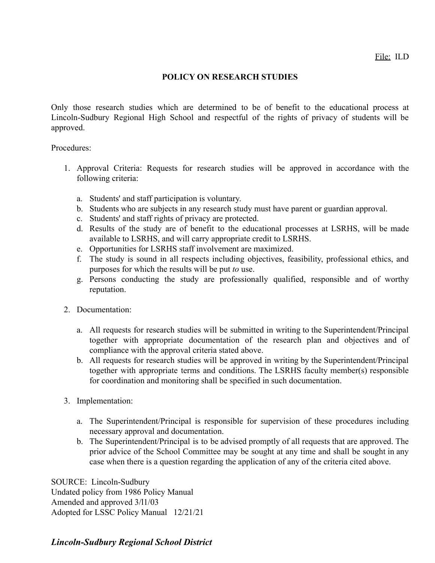#### **POLICY ON RESEARCH STUDIES**

Only those research studies which are determined to be of benefit to the educational process at Lincoln-Sudbury Regional High School and respectful of the rights of privacy of students will be approved.

Procedures:

- 1. Approval Criteria: Requests for research studies will be approved in accordance with the following criteria:
	- a. Students' and staff participation is voluntary.
	- b. Students who are subjects in any research study must have parent or guardian approval.
	- c. Students' and staff rights of privacy are protected.
	- d. Results of the study are of benefit to the educational processes at LSRHS, will be made available to LSRHS, and will carry appropriate credit to LSRHS.
	- e. Opportunities for LSRHS staff involvement are maximized.
	- f. The study is sound in all respects including objectives, feasibility, professional ethics, and purposes for which the results will be put *to* use.
	- g. Persons conducting the study are professionally qualified, responsible and of worthy reputation.
- 2. Documentation:
	- a. All requests for research studies will be submitted in writing to the Superintendent/Principal together with appropriate documentation of the research plan and objectives and of compliance with the approval criteria stated above.
	- b. All requests for research studies will be approved in writing by the Superintendent/Principal together with appropriate terms and conditions. The LSRHS faculty member(s) responsible for coordination and monitoring shall be specified in such documentation.
- 3. Implementation:
	- a. The Superintendent/Principal is responsible for supervision of these procedures including necessary approval and documentation.
	- b. The Superintendent/Principal is to be advised promptly of all requests that are approved. The prior advice of the School Committee may be sought at any time and shall be sought in any case when there is a question regarding the application of any of the criteria cited above.

SOURCE: Lincoln-Sudbury Undated policy from 1986 Policy Manual Amended and approved 3/l1/03 Adopted for LSSC Policy Manual 12/21/21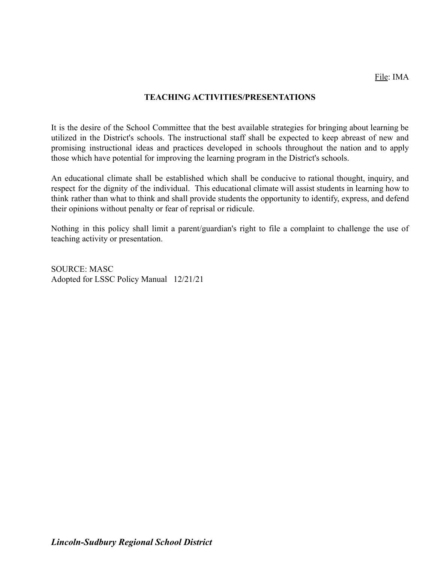#### **TEACHING ACTIVITIES/PRESENTATIONS**

It is the desire of the School Committee that the best available strategies for bringing about learning be utilized in the District's schools. The instructional staff shall be expected to keep abreast of new and promising instructional ideas and practices developed in schools throughout the nation and to apply those which have potential for improving the learning program in the District's schools.

An educational climate shall be established which shall be conducive to rational thought, inquiry, and respect for the dignity of the individual. This educational climate will assist students in learning how to think rather than what to think and shall provide students the opportunity to identify, express, and defend their opinions without penalty or fear of reprisal or ridicule.

Nothing in this policy shall limit a parent/guardian's right to file a complaint to challenge the use of teaching activity or presentation.

SOURCE: MASC Adopted for LSSC Policy Manual 12/21/21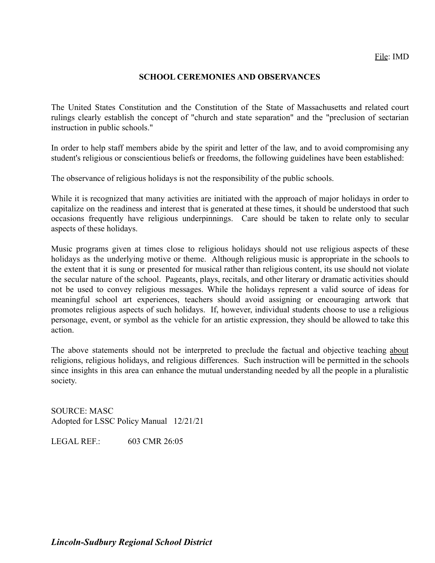#### **SCHOOL CEREMONIES AND OBSERVANCES**

The United States Constitution and the Constitution of the State of Massachusetts and related court rulings clearly establish the concept of "church and state separation" and the "preclusion of sectarian instruction in public schools."

In order to help staff members abide by the spirit and letter of the law, and to avoid compromising any student's religious or conscientious beliefs or freedoms, the following guidelines have been established:

The observance of religious holidays is not the responsibility of the public schools.

While it is recognized that many activities are initiated with the approach of major holidays in order to capitalize on the readiness and interest that is generated at these times, it should be understood that such occasions frequently have religious underpinnings. Care should be taken to relate only to secular aspects of these holidays.

Music programs given at times close to religious holidays should not use religious aspects of these holidays as the underlying motive or theme. Although religious music is appropriate in the schools to the extent that it is sung or presented for musical rather than religious content, its use should not violate the secular nature of the school. Pageants, plays, recitals, and other literary or dramatic activities should not be used to convey religious messages. While the holidays represent a valid source of ideas for meaningful school art experiences, teachers should avoid assigning or encouraging artwork that promotes religious aspects of such holidays. If, however, individual students choose to use a religious personage, event, or symbol as the vehicle for an artistic expression, they should be allowed to take this action.

The above statements should not be interpreted to preclude the factual and objective teaching about religions, religious holidays, and religious differences. Such instruction will be permitted in the schools since insights in this area can enhance the mutual understanding needed by all the people in a pluralistic society.

SOURCE: MASC Adopted for LSSC Policy Manual 12/21/21

LEGAL REF $\cdot$  603 CMR 26:05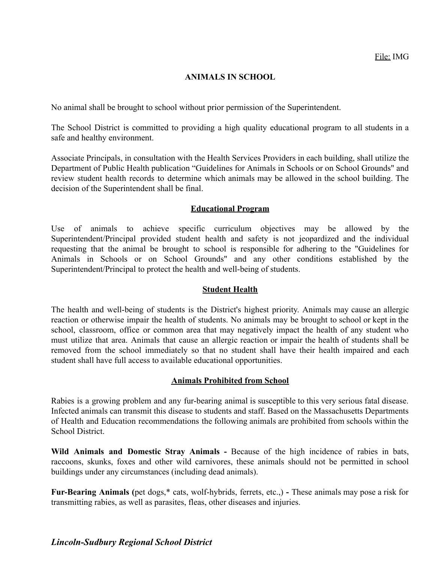#### **ANIMALS IN SCHOOL**

No animal shall be brought to school without prior permission of the Superintendent.

The School District is committed to providing a high quality educational program to all students in a safe and healthy environment.

Associate Principals, in consultation with the Health Services Providers in each building, shall utilize the Department of Public Health publication "Guidelines for Animals in Schools or on School Grounds" and review student health records to determine which animals may be allowed in the school building. The decision of the Superintendent shall be final.

#### **Educational Program**

Use of animals to achieve specific curriculum objectives may be allowed by the Superintendent/Principal provided student health and safety is not jeopardized and the individual requesting that the animal be brought to school is responsible for adhering to the "Guidelines for Animals in Schools or on School Grounds" and any other conditions established by the Superintendent/Principal to protect the health and well-being of students.

# **Student Health**

The health and well-being of students is the District's highest priority. Animals may cause an allergic reaction or otherwise impair the health of students. No animals may be brought to school or kept in the school, classroom, office or common area that may negatively impact the health of any student who must utilize that area. Animals that cause an allergic reaction or impair the health of students shall be removed from the school immediately so that no student shall have their health impaired and each student shall have full access to available educational opportunities.

#### **Animals Prohibited from School**

Rabies is a growing problem and any fur-bearing animal is susceptible to this very serious fatal disease. Infected animals can transmit this disease to students and staff. Based on the Massachusetts Departments of Health and Education recommendations the following animals are prohibited from schools within the School District.

**Wild Animals and Domestic Stray Animals -** Because of the high incidence of rabies in bats, raccoons, skunks, foxes and other wild carnivores, these animals should not be permitted in school buildings under any circumstances (including dead animals).

**Fur-Bearing Animals (**pet dogs,\* cats, wolf-hybrids, ferrets, etc.,) **-** These animals may pose a risk for transmitting rabies, as well as parasites, fleas, other diseases and injuries.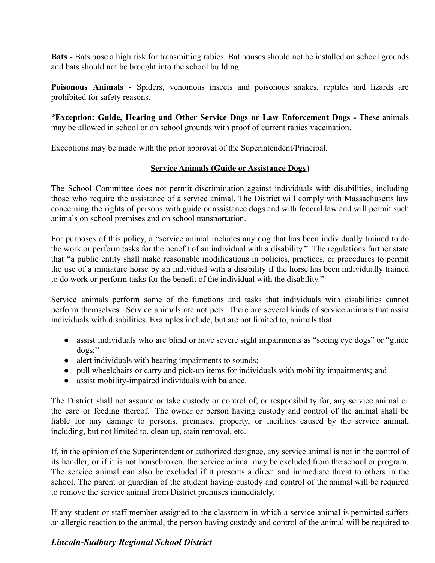**Bats -** Bats pose a high risk for transmitting rabies. Bat houses should not be installed on school grounds and bats should not be brought into the school building.

**Poisonous Animals -** Spiders, venomous insects and poisonous snakes, reptiles and lizards are prohibited for safety reasons.

**\*Exception: Guide, Hearing and Other Service Dogs or Law Enforcement Dogs -** These animals may be allowed in school or on school grounds with proof of current rabies vaccination.

Exceptions may be made with the prior approval of the Superintendent/Principal.

# **Service Animals (Guide or Assistance Dogs)**

The School Committee does not permit discrimination against individuals with disabilities, including those who require the assistance of a service animal. The District will comply with Massachusetts law concerning the rights of persons with guide or assistance dogs and with federal law and will permit such animals on school premises and on school transportation.

For purposes of this policy, a "service animal includes any dog that has been individually trained to do the work or perform tasks for the benefit of an individual with a disability." The regulations further state that "a public entity shall make reasonable modifications in policies, practices, or procedures to permit the use of a miniature horse by an individual with a disability if the horse has been individually trained to do work or perform tasks for the benefit of the individual with the disability."

Service animals perform some of the functions and tasks that individuals with disabilities cannot perform themselves. Service animals are not pets. There are several kinds of service animals that assist individuals with disabilities. Examples include, but are not limited to, animals that:

- assist individuals who are blind or have severe sight impairments as "seeing eye dogs" or "guide" dogs;"
- alert individuals with hearing impairments to sounds;
- pull wheelchairs or carry and pick-up items for individuals with mobility impairments; and
- assist mobility-impaired individuals with balance.

The District shall not assume or take custody or control of, or responsibility for, any service animal or the care or feeding thereof. The owner or person having custody and control of the animal shall be liable for any damage to persons, premises, property, or facilities caused by the service animal, including, but not limited to, clean up, stain removal, etc.

If, in the opinion of the Superintendent or authorized designee, any service animal is not in the control of its handler, or if it is not housebroken, the service animal may be excluded from the school or program. The service animal can also be excluded if it presents a direct and immediate threat to others in the school. The parent or guardian of the student having custody and control of the animal will be required to remove the service animal from District premises immediately.

If any student or staff member assigned to the classroom in which a service animal is permitted suffers an allergic reaction to the animal, the person having custody and control of the animal will be required to